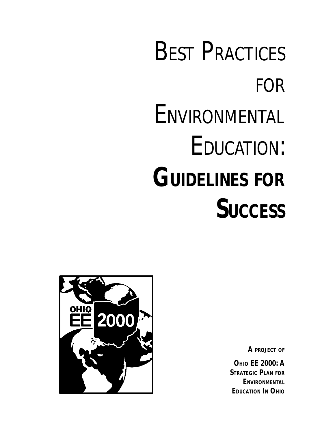# **BEST PRACTICES** FOR **ENVIRONMENTAL** EDUCATION: **GUIDELINES FOR SUCCESS**



*A PROJECT OF*

**OHIO EE 2000: A STRATEGIC PLAN FOR ENVIRONMENTAL EDUCATION IN OHIO**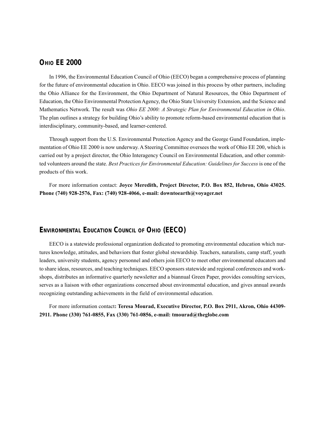## **OHIO EE 2000**

In 1996, the Environmental Education Council of Ohio (EECO) began a comprehensive process of planning for the future of environmental education in Ohio. EECO was joined in this process by other partners, including the Ohio Alliance for the Environment, the Ohio Department of Natural Resources, the Ohio Department of Education, the Ohio Environmental Protection Agency, the Ohio State University Extension, and the Science and Mathematics Network. The result was *Ohio EE 2000: A Strategic Plan for Environmental Education in Ohio*. The plan outlines a strategy for building Ohio's ability to promote reform-based environmental education that is interdisciplinary, community-based, and learner-centered.

Through support from the U.S. Environmental Protection Agency and the George Gund Foundation, implementation of Ohio EE 2000 is now underway. A Steering Committee oversees the work of Ohio EE 200, which is carried out by a project director, the Ohio Interagency Council on Environmental Education, and other committed volunteers around the state. *Best Practices for Environmental Education: Guidelines for Success* is one of the products of this work.

For more information contact: **Joyce Meredith, Project Director, P.O. Box 852, Hebron, Ohio 43025. Phone (740) 928-2576, Fax: (740) 928-4066, e-mail: downtoearth@voyager.net**

#### **ENVIRONMENTAL EDUCATION COUNCIL OF OHIO (EECO)**

EECO is a statewide professional organization dedicated to promoting environmental education which nurtures knowledge, attitudes, and behaviors that foster global stewardship. Teachers, naturalists, camp staff, youth leaders, university students, agency personnel and others join EECO to meet other environmental educators and to share ideas, resources, and teaching techniques. EECO sponsors statewide and regional conferences and workshops, distributes an informative quarterly newsletter and a biannual Green Paper, provides consulting services, serves as a liaison with other organizations concerned about environmental education, and gives annual awards recognizing outstanding achievements in the field of environmental education.

For more information contact**: Teresa Mourad, Executive Director, P.O. Box 2911, Akron, Ohio 44309- 2911. Phone (330) 761-0855, Fax (330) 761-0856, e-mail: tmourad@theglobe.com**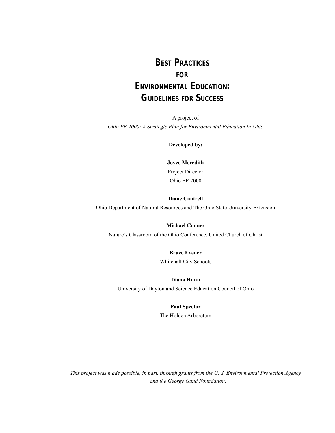# **BEST PRACTICES FOR ENVIRONMENTAL EDUCATION:**

# **GUIDELINES FOR SUCCESS**

A project of *Ohio EE 2000: A Strategic Plan for Environmental Education In Ohio*

**Developed by:**

**Joyce Meredith** Project Director Ohio EE 2000

#### **Diane Cantrell**

Ohio Department of Natural Resources and The Ohio State University Extension

#### **Michael Conner**

Nature's Classroom of the Ohio Conference, United Church of Christ

#### **Bruce Evener**

Whitehall City Schools

## **Diana Hunn**

University of Dayton and Science Education Council of Ohio

#### **Paul Spector**

The Holden Arboretum

*This project was made possible, in part, through grants from the U. S. Environmental Protection Agency and the George Gund Foundation.*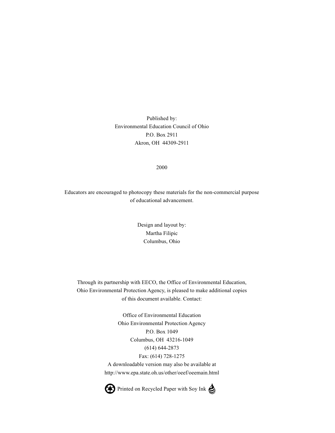Published by: Environmental Education Council of Ohio P.O. Box 2911 Akron, OH 44309-2911

#### 2000

Educators are encouraged to photocopy these materials for the non-commercial purpose of educational advancement.

> Design and layout by: Martha Filipic Columbus, Ohio

Through its partnership with EECO, the Office of Environmental Education, Ohio Environmental Protection Agency, is pleased to make additional copies of this document available. Contact:

> Office of Environmental Education Ohio Environmental Protection Agency P.O. Box 1049 Columbus, OH 43216-1049 (614) 644-2873 Fax: (614) 728-1275 A downloadable version may also be available at http://www.epa.state.oh.us/other/oeef/oeemain.html



Printed on Recycled Paper with Soy Ink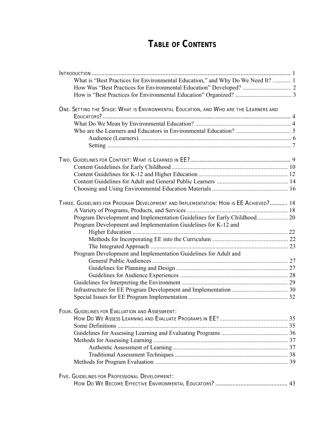# **TABLE OF CONTENTS**

| What is "Best Practices for Environmental Education," and Why Do We Need It?  1       |  |
|---------------------------------------------------------------------------------------|--|
|                                                                                       |  |
|                                                                                       |  |
|                                                                                       |  |
| ONE. SETTING THE STAGE: WHAT IS ENVIRONMENTAL EDUCATION, AND WHO ARE THE LEARNERS AND |  |
|                                                                                       |  |
|                                                                                       |  |
|                                                                                       |  |
|                                                                                       |  |
|                                                                                       |  |
|                                                                                       |  |
|                                                                                       |  |
|                                                                                       |  |
|                                                                                       |  |
|                                                                                       |  |
|                                                                                       |  |
| THREE. GUIDELINES FOR PROGRAM DEVELOPMENT AND IMPLEMENTATION: HOW IS EE ACHIEVED? 18  |  |
|                                                                                       |  |
| Program Development and Implementation Guidelines for Early Childhood 20              |  |
| Program Development and Implementation Guidelines for K-12 and                        |  |
|                                                                                       |  |
|                                                                                       |  |
|                                                                                       |  |
| Program Development and Implementation Guidelines for Adult and                       |  |
|                                                                                       |  |
|                                                                                       |  |
|                                                                                       |  |
|                                                                                       |  |
|                                                                                       |  |
|                                                                                       |  |
|                                                                                       |  |
| FOUR. GUIDELINES FOR EVALUATION AND ASSESSMENT:                                       |  |
|                                                                                       |  |
|                                                                                       |  |
|                                                                                       |  |
|                                                                                       |  |
|                                                                                       |  |
|                                                                                       |  |
|                                                                                       |  |
|                                                                                       |  |
| FIVE. GUIDELINES FOR PROFESSIONAL DEVELOPMENT:                                        |  |
|                                                                                       |  |
|                                                                                       |  |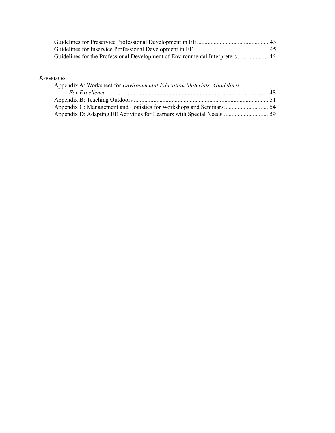| Guidelines for the Professional Development of Environmental Interpreters  46 |  |
|-------------------------------------------------------------------------------|--|

## **APPENDICES**

| <b>NDICES</b>                                                                  |  |
|--------------------------------------------------------------------------------|--|
| Appendix A: Worksheet for <i>Environmental Education Materials: Guidelines</i> |  |
|                                                                                |  |
|                                                                                |  |
|                                                                                |  |
|                                                                                |  |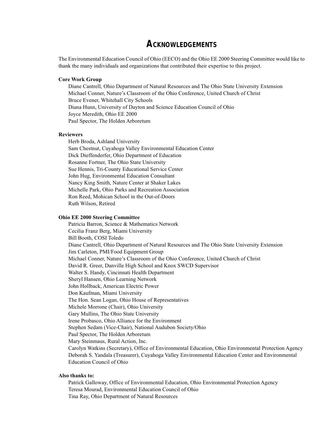# **ACKNOWLEDGEMENTS**

The Environmental Education Council of Ohio (EECO) and the Ohio EE 2000 Steering Committee would like to thank the many individuals and organizations that contributed their expertise to this project.

#### **Core Work Group**

Diane Cantrell, Ohio Department of Natural Resources and The Ohio State University Extension Michael Conner, Nature's Classroom of the Ohio Conference, United Church of Christ Bruce Evener, Whitehall City Schools Diana Hunn, University of Dayton and Science Education Council of Ohio Joyce Meredith, Ohio EE 2000 Paul Spector, The Holden Arboretum

#### **Reviewers**

Herb Broda, Ashland University Sam Chestnut, Cuyahoga Valley Environmental Education Center Dick Dieffenderfer, Ohio Department of Education Rosanne Fortner, The Ohio State University Sue Hennis, Tri-County Educational Service Center John Hug, Environmental Education Consultant Nancy King Smith, Nature Center at Shaker Lakes Michelle Park, Ohio Parks and Recreation Association Ron Reed, Mohican School in the Out-of-Doors Ruth Wilson, Retired

#### **Ohio EE 2000 Steering Committee**

Patricia Barron, Science & Mathematics Network Cecilia Franz Berg, Miami University Bill Booth, COSI Toledo Diane Cantrell, Ohio Department of Natural Resources and The Ohio State University Extension Jim Carleton, PMI/Food Equipment Group Michael Conner, Nature's Classroom of the Ohio Conference, United Church of Christ David R. Greer, Danville High School and Knox SWCD Supervisor Walter S. Handy, Cincinnati Health Department Sheryl Hansen, Ohio Learning Network John Hollback, American Electric Power Don Kaufman, Miami University The Hon. Sean Logan, Ohio House of Representatives Michele Morrone (Chair), Ohio University Gary Mullins, The Ohio State University Irene Probasco, Ohio Alliance for the Environment Stephen Sedam (Vice-Chair), National Audubon Society/Ohio Paul Spector, The Holden Arboretum Mary Steinmaus, Rural Action, Inc. Carolyn Watkins (Secretary), Office of Environmental Education, Ohio Environmental Protection Agency Deborah S. Yandala (Treasurer), Cuyahoga Valley Environmental Education Center and Environmental Education Council of Ohio

#### **Also thanks to:**

Patrick Galloway, Office of Environmental Education, Ohio Environmental Protection Agency Teresa Mourad, Environmental Education Council of Ohio Tina Ray, Ohio Department of Natural Resources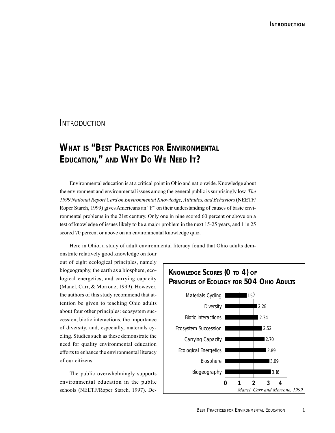# **INTRODUCTION**

# **WHAT IS "BEST PRACTICES FOR ENVIRONMENTAL EDUCATION," AND WHY DO WE NEED IT?**

Environmental education is at a critical point in Ohio and nationwide. Knowledge about the environment and environmental issues among the general public is surprisingly low. *The 1999 National Report Card on Environmental Knowledge, Attitudes, and Behaviors* (NEETF/ Roper Starch, 1999) gives Americans an "F" on their understanding of causes of basic environmental problems in the 21st century. Only one in nine scored 60 percent or above on a test of knowledge of issues likely to be a major problem in the next 15-25 years, and 1 in 25 scored 70 percent or above on an environmental knowledge quiz.

onstrate relatively good knowledge on four out of eight ecological principles, namely biogeography, the earth as a biosphere, ecological energetics, and carrying capacity (Mancl, Carr, & Morrone; 1999). However, the authors of this study recommend that attention be given to teaching Ohio adults about four other principles: ecosystem succession, biotic interactions, the importance of diversity, and, especially, materials cycling. Studies such as these demonstrate the need for quality environmental education efforts to enhance the environmental literacy of our citizens.

The public overwhelmingly supports environmental education in the public schools (NEETF/Roper Starch, 1997). De-

#### Materials Cycling **Diversity** Biotic Interactions Ecosystem Succession Carrying Capacity Ecological Energetics Biosphere Biogeography **KNOWLEDGE SCORES (0 TO 4) OF PRINCIPLES OF ECOLOGY FOR 504 OHIO ADULTS 0 1 2 34** 2.28 2.34 3.09 3.16 52 2.70 2.89 *Mancl, Carr and Morrone, 1999* 1.57

Here in Ohio, a study of adult environmental literacy found that Ohio adults dem-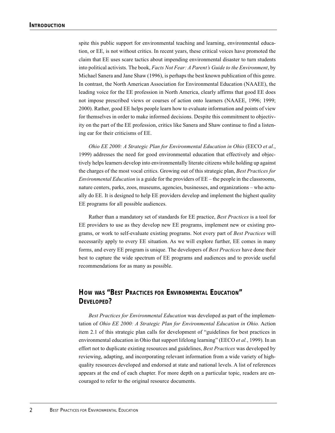spite this public support for environmental teaching and learning, environmental education, or EE, is not without critics. In recent years, these critical voices have promoted the claim that EE uses scare tactics about impending environmental disaster to turn students into political activists. The book, *Facts Not Fear: A Parent's Guide to the Environment*, by Michael Sanera and Jane Shaw (1996), is perhaps the best known publication of this genre. In contrast, the North American Association for Environmental Education (NAAEE), the leading voice for the EE profession in North America, clearly affirms that good EE does not impose prescribed views or courses of action onto learners (NAAEE, 1996; 1999; 2000). Rather, good EE helps people learn how to evaluate information and points of view for themselves in order to make informed decisions. Despite this commitment to objectivity on the part of the EE profession, critics like Sanera and Shaw continue to find a listening ear for their criticisms of EE.

*Ohio EE 2000: A Strategic Plan for Environmental Education in Ohio* (EECO *et al.*, 1999) addresses the need for good environmental education that effectively and objectively helps learners develop into environmentally literate citizens while holding up against the charges of the most vocal critics. Growing out of this strategic plan, *Best Practices for Environmental Education* is a guide for the providers of EE – the people in the classrooms, nature centers, parks, zoos, museums, agencies, businesses, and organizations – who actually do EE. It is designed to help EE providers develop and implement the highest quality EE programs for all possible audiences.

Rather than a mandatory set of standards for EE practice, *Best Practices* is a tool for EE providers to use as they develop new EE programs, implement new or existing programs, or work to self-evaluate existing programs. Not every part of *Best Practices* will necessarily apply to every EE situation. As we will explore further, EE comes in many forms, and every EE program is unique. The developers of *Best Practices* have done their best to capture the wide spectrum of EE programs and audiences and to provide useful recommendations for as many as possible.

# **HOW WAS "BEST PRACTICES FOR ENVIRONMENTAL EDUCATION" DEVELOPED?**

*Best Practices for Environmental Education* was developed as part of the implementation of *Ohio EE 2000: A Strategic Plan for Environmental Education in Ohio.* Action item 2.1 of this strategic plan calls for development of "guidelines for best practices in environmental education in Ohio that support lifelong learning" (EECO *et al.*, 1999). In an effort not to duplicate existing resources and guidelines, *Best Practices* was developed by reviewing, adapting, and incorporating relevant information from a wide variety of highquality resources developed and endorsed at state and national levels. A list of references appears at the end of each chapter. For more depth on a particular topic, readers are encouraged to refer to the original resource documents.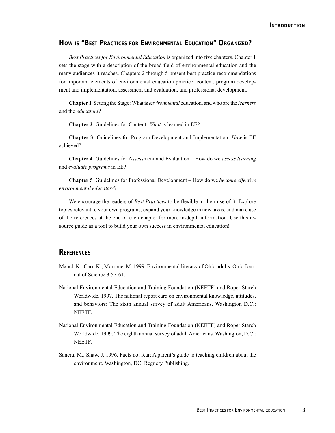# **HOW IS "BEST PRACTICES FOR ENVIRONMENTAL EDUCATION" ORGANIZED?**

*Best Practices for Environmental Education* is organized into five chapters. Chapter 1 sets the stage with a description of the broad field of environmental education and the many audiences it reaches. Chapters 2 through 5 present best practice recommendations for important elements of environmental education practice: content, program development and implementation, assessment and evaluation, and professional development.

**Chapter 1** Setting the Stage: What is *environmental* education, and who are the *learners* and the *educators*?

**Chapter 2** Guidelines for Content: *What* is learned in EE?

**Chapter 3** Guidelines for Program Development and Implementation: *How* is EE achieved?

**Chapter 4** Guidelines for Assessment and Evaluation – How do we *assess learning* and *evaluate programs* in EE?

**Chapter 5** Guidelines for Professional Development – How do we *become effective environmental educators*?

We encourage the readers of *Best Practices* to be flexible in their use of it. Explore topics relevant to your own programs, expand your knowledge in new areas, and make use of the references at the end of each chapter for more in-depth information. Use this resource guide as a tool to build your own success in environmental education!

## **REFERENCES**

- Mancl, K.; Carr, K.; Morrone, M. 1999. Environmental literacy of Ohio adults. Ohio Journal of Science 3:57-61.
- National Environmental Education and Training Foundation (NEETF) and Roper Starch Worldwide. 1997. The national report card on environmental knowledge, attitudes, and behaviors: The sixth annual survey of adult Americans. Washington D.C.: NEETF.
- National Environmental Education and Training Foundation (NEETF) and Roper Starch Worldwide. 1999. The eighth annual survey of adult Americans. Washington, D.C.: NEETF.
- Sanera, M.; Shaw, J. 1996. Facts not fear: A parent's guide to teaching children about the environment. Washington, DC: Regnery Publishing.

*3*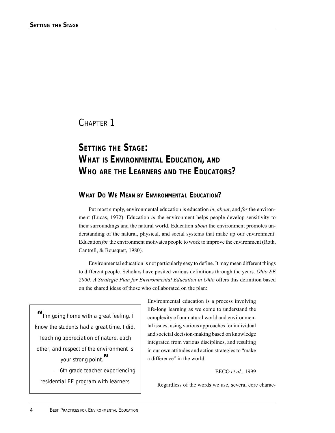CHAPTER 1

# *SETTING THE STAGE:* **WHAT IS ENVIRONMENTAL EDUCATION, AND WHO ARE THE LEARNERS AND THE EDUCATORS?**

# **WHAT DO WE MEAN BY ENVIRONMENTAL EDUCATION?**

Put most simply, environmental education is education *in*, *about*, and *for* the environment (Lucas, 1972). Education *in* the environment helps people develop sensitivity to their surroundings and the natural world. Education *about* the environment promotes understanding of the natural, physical, and social systems that make up our environment. Education *for* the environment motivates people to work to improve the environment (Roth, Cantrell, & Bousquet, 1980).

Environmental education is not particularly easy to define. It may mean different things to different people. Scholars have posited various definitions through the years. *Ohio EE 2000: A Strategic Plan for Environmental Education in Ohio* offers this definition based on the shared ideas of those who collaborated on the plan:

*"I'm going home with a great feeling. I know the students had a great time. I did. Teaching appreciation of nature, each other, and respect of the environment is your strong point." —6th grade teacher experiencing residential EE program with learners*

Environmental education is a process involving life-long learning as we come to understand the complexity of our natural world and environmental issues, using various approaches for individual and societal decision-making based on knowledge integrated from various disciplines, and resulting in our own attitudes and action strategies to "make a difference" in the world.

#### EECO *et al*., 1999

Regardless of the words we use, several core charac-

*4*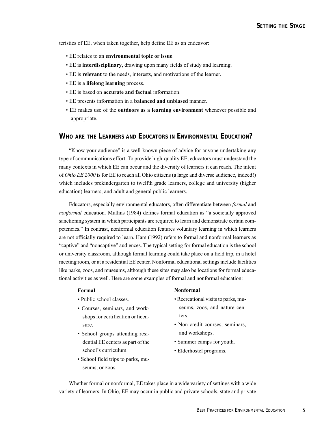teristics of EE, when taken together, help define EE as an endeavor:

- EE relates to an **environmental topic or issue**.
- EE is **interdisciplinary**, drawing upon many fields of study and learning.
- EE is **relevant** to the needs, interests, and motivations of the learner.
- EE is a **lifelong learning** process.
- EE is based on **accurate and factual** information.
- EE presents information in a **balanced and unbiased** manner.
- EE makes use of the **outdoors as a learning environment** whenever possible and appropriate.

# **WHO ARE THE LEARNERS AND EDUCATORS IN ENVIRONMENTAL EDUCATION?**

"Know your audience" is a well-known piece of advice for anyone undertaking any type of communications effort. To provide high-quality EE, educators must understand the many contexts in which EE can occur and the diversity of learners it can reach. The intent of *Ohio EE 2000* is for EE to reach all Ohio citizens (a large and diverse audience, indeed!) which includes prekindergarten to twelfth grade learners, college and university (higher education) learners, and adult and general public learners.

Educators, especially environmental educators, often differentiate between *formal* and *nonformal* education. Mullins (1984) defines formal education as "a societally approved sanctioning system in which participants are required to learn and demonstrate certain competencies." In contrast, nonformal education features voluntary learning in which learners are not officially required to learn. Ham (1992) refers to formal and nonformal learners as "captive" and "noncaptive" audiences. The typical setting for formal education is the school or university classroom, although formal learning could take place on a field trip, in a hotel meeting room, or at a residential EE center. Nonformal educational settings include facilities like parks, zoos, and museums, although these sites may also be locations for formal educational activities as well. Here are some examples of formal and nonformal education:

#### **Formal**

- Public school classes.
- Courses, seminars, and workshops for certification or licensure.
- School groups attending residential EE centers as part of the school's curriculum.
- School field trips to parks, museums, or zoos.

#### **Nonformal**

- Recreational visits to parks, museums, zoos, and nature centers.
- Non-credit courses, seminars, and workshops.
- Summer camps for youth.
- Elderhostel programs.

Whether formal or nonformal, EE takes place in a wide variety of settings with a wide variety of learners. In Ohio, EE may occur in public and private schools, state and private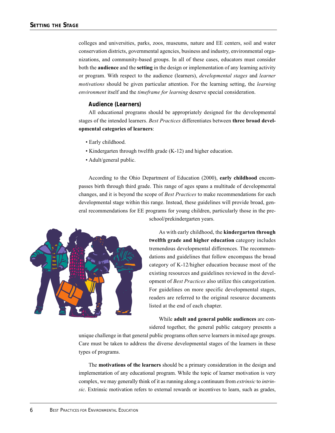colleges and universities, parks, zoos, museums, nature and EE centers, soil and water conservation districts, governmental agencies, business and industry, environmental organizations, and community-based groups. In all of these cases, educators must consider both the **audience** and the **setting** in the design or implementation of any learning activity or program. With respect to the audience (learners), *developmental stages* and *learner motivations* should be given particular attention. For the learning setting, the *learning environment* itself and the *timeframe for learning* deserve special consideration.

#### **Audience (Learners)**

All educational programs should be appropriately designed for the developmental stages of the intended learners. *Best Practices* differentiates between **three broad developmental categories of learners**:

- Early childhood.
- Kindergarten through twelfth grade (K-12) and higher education.
- Adult/general public.

According to the Ohio Department of Education (2000), **early childhood** encompasses birth through third grade. This range of ages spans a multitude of developmental changes, and it is beyond the scope of *Best Practices* to make recommendations for each developmental stage within this range. Instead, these guidelines will provide broad, general recommendations for EE programs for young children, particularly those in the preschool/prekindergarten years.



As with early childhood, the **kindergarten through twelfth grade and higher education** category includes tremendous developmental differences. The recommendations and guidelines that follow encompass the broad category of K-12/higher education because most of the existing resources and guidelines reviewed in the development of *Best Practices* also utilize this categorization. For guidelines on more specific developmental stages, readers are referred to the original resource documents listed at the end of each chapter.

While **adult and general public audiences** are considered together, the general public category presents a

unique challenge in that general public programs often serve learners in mixed age groups. Care must be taken to address the diverse developmental stages of the learners in these types of programs.

The **motivations of the learners** should be a primary consideration in the design and implementation of any educational program. While the topic of learner motivation is very complex, we may generally think of it as running along a continuum from *extrinsic* to *intrinsic*. Extrinsic motivation refers to external rewards or incentives to learn, such as grades,

*6*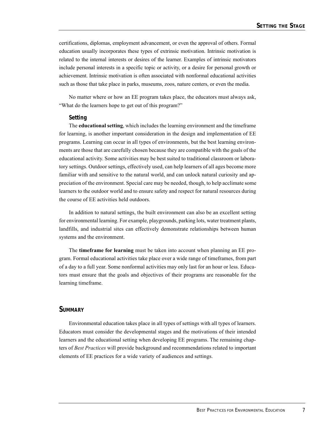certifications, diplomas, employment advancement, or even the approval of others. Formal education usually incorporates these types of extrinsic motivation. Intrinsic motivation is related to the internal interests or desires of the learner. Examples of intrinsic motivators include personal interests in a specific topic or activity, or a desire for personal growth or achievement. Intrinsic motivation is often associated with nonformal educational activities such as those that take place in parks, museums, zoos, nature centers, or even the media.

No matter where or how an EE program takes place, the educators must always ask, "What do the learners hope to get out of this program?"

#### **Setting**

The **educational setting**, which includes the learning environment and the timeframe for learning, is another important consideration in the design and implementation of EE programs. Learning can occur in all types of environments, but the best learning environments are those that are carefully chosen because they are compatible with the goals of the educational activity. Some activities may be best suited to traditional classroom or laboratory settings. Outdoor settings, effectively used, can help learners of all ages become more familiar with and sensitive to the natural world, and can unlock natural curiosity and appreciation of the environment. Special care may be needed, though, to help acclimate some learners to the outdoor world and to ensure safety and respect for natural resources during the course of EE activities held outdoors.

In addition to natural settings, the built environment can also be an excellent setting for environmental learning. For example, playgrounds, parking lots, water treatment plants, landfills, and industrial sites can effectively demonstrate relationships between human systems and the environment.

The **timeframe for learning** must be taken into account when planning an EE program. Formal educational activities take place over a wide range of timeframes, from part of a day to a full year. Some nonformal activities may only last for an hour or less. Educators must ensure that the goals and objectives of their programs are reasonable for the learning timeframe.

#### **SUMMARY**

Environmental education takes place in all types of settings with all types of learners. Educators must consider the developmental stages and the motivations of their intended learners and the educational setting when developing EE programs. The remaining chapters of *Best Practices* will provide background and recommendations related to important elements of EE practices for a wide variety of audiences and settings.

*7*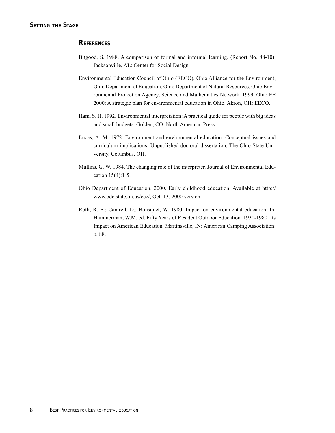# **REFERENCES**

- Bitgood, S. 1988. A comparison of formal and informal learning. (Report No. 88-10). Jacksonville, AL: Center for Social Design.
- Environmental Education Council of Ohio (EECO), Ohio Alliance for the Environment, Ohio Department of Education, Ohio Department of Natural Resources, Ohio Environmental Protection Agency, Science and Mathematics Network. 1999. Ohio EE 2000: A strategic plan for environmental education in Ohio. Akron, OH: EECO.
- Ham, S. H. 1992. Environmental interpretation: A practical guide for people with big ideas and small budgets. Golden, CO: North American Press.
- Lucas, A. M. 1972. Environment and environmental education: Conceptual issues and curriculum implications. Unpublished doctoral dissertation, The Ohio State University, Columbus, OH.
- Mullins, G. W. 1984. The changing role of the interpreter. Journal of Environmental Education 15(4):1-5.
- Ohio Department of Education. 2000. Early childhood education. Available at http:// www.ode.state.oh.us/ece/, Oct. 13, 2000 version.
- Roth, R. E.; Cantrell, D.; Bousquet, W. 1980. Impact on environmental education. In: Hammerman, W.M. ed. Fifty Years of Resident Outdoor Education: 1930-1980: Its Impact on American Education. Martinsville, IN: American Camping Association: p. 88.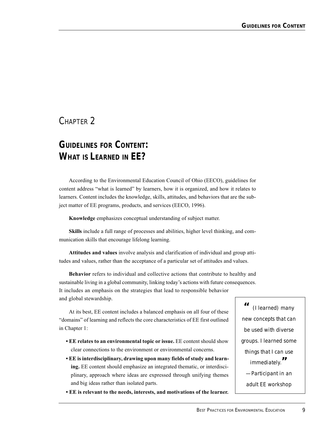# CHAPTER 2

# *GUIDELINES FOR CONTENT:* **WHAT IS LEARNED IN EE?**

According to the Environmental Education Council of Ohio (EECO), guidelines for content address "what is learned" by learners, how it is organized, and how it relates to learners. Content includes the knowledge, skills, attitudes, and behaviors that are the subject matter of EE programs, products, and services (EECO, 1996).

**Knowledge** emphasizes conceptual understanding of subject matter.

**Skills** include a full range of processes and abilities, higher level thinking, and communication skills that encourage lifelong learning.

**Attitudes and values** involve analysis and clarification of individual and group attitudes and values, rather than the acceptance of a particular set of attitudes and values.

**Behavior** refers to individual and collective actions that contribute to healthy and sustainable living in a global community, linking today's actions with future consequences. It includes an emphasis on the strategies that lead to responsible behavior and global stewardship.

At its best, EE content includes a balanced emphasis on all four of these "domains" of learning and reflects the core characteristics of EE first outlined in Chapter 1:

- **EE relates to an environmental topic or issue.** EE content should show clear connections to the environment or environmental concerns.
- **EE is interdisciplinary, drawing upon many fields of study and learning.** EE content should emphasize an integrated thematic, or interdisciplinary, approach where ideas are expressed through unifying themes and big ideas rather than isolated parts.
- **EE is relevant to the needs, interests, and motivations of the learner.**

*" (I learned) many new concepts that can be used with diverse groups. I learned some things that I can use immediately." —Participant in an adult EE workshop*

*9*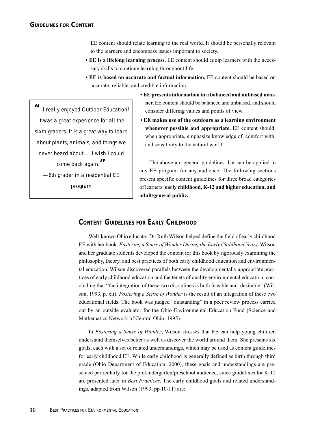EE content should relate learning to the real world. It should be personally relevant to the learners and encompass issues important to society.

- **EE is a lifelong learning process.** EE content should equip learners with the necessary skills to continue learning throughout life.
- **EE is based on accurate and factual information.** EE content should be based on accurate, reliable, and credible information.

*" I really enjoyed Outdoor Education! It was a great experience for all the sixth graders. It is a great way to learn about plants, animals, and things we never heard about…. I wish I could come back again." —6th grader in a residential EE program*

- **EE presents information in a balanced and unbiased manner.** EE content should be balanced and unbiased, and should consider differing values and points of view.
- **EE makes use of the outdoors as a learning environment whenever possible and appropriate.** EE content should, when appropriate, emphasize knowledge of, comfort with, and sensitivity to the natural world.

The above are general guidelines that can be applied to any EE program for any audience. The following sections present specific content guidelines for three broad categories of learners: **early childhood, K-12 and higher education, and adult/general public.**

# **CONTENT GUIDELINES FOR EARLY CHILDHOOD**

Well-known Ohio educator Dr. Ruth Wilson helped define the field of early childhood EE with her book*, Fostering a Sense of Wonder During the Early Childhood Years*. Wilson and her graduate students developed the content for this book by rigorously examining the philosophy, theory, and best practices of both early childhood education and environmental education. Wilson discovered parallels between the developmentally appropriate practices of early childhood education and the tenets of quality environmental education, concluding that "the integration of these two disciplines is both feasible and desirable" (Wilson, 1993, p. xii). *Fostering a Sense of Wonder* is the result of an integration of these two educational fields. The book was judged "outstanding" in a peer review process carried out by an outside evaluator for the Ohio Environmental Education Fund (Science and Mathematics Network of Central Ohio, 1995).

In *Fostering a Sense of Wonder*, Wilson stresses that EE can help young children understand themselves better as well as discover the world around them. She presents six goals, each with a set of related understandings, which may be used as content guidelines for early childhood EE. While early childhood is generally defined as birth through third grade (Ohio Department of Education, 2000), these goals and understandings are presented particularly for the prekindergarten/preschool audience, since guidelines for K-12 are presented later in *Best Practices*. The early childhood goals and related understandings, adapted from Wilson (1993, pp 10-11) are: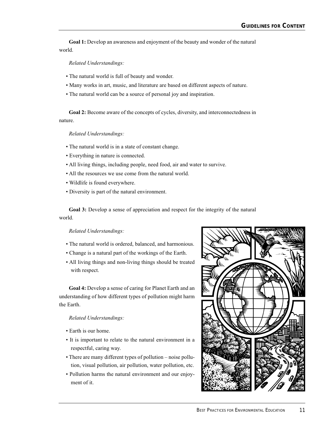**Goal 1:** Develop an awareness and enjoyment of the beauty and wonder of the natural world.

*Related Understandings:*

- The natural world is full of beauty and wonder.
- Many works in art, music, and literature are based on different aspects of nature.
- The natural world can be a source of personal joy and inspiration.

**Goal 2:** Become aware of the concepts of cycles, diversity, and interconnectedness in nature.

*Related Understandings:*

- The natural world is in a state of constant change.
- Everything in nature is connected.
- All living things, including people, need food, air and water to survive.
- All the resources we use come from the natural world.
- Wildlife is found everywhere.
- Diversity is part of the natural environment.

**Goal 3:** Develop a sense of appreciation and respect for the integrity of the natural world.

#### *Related Understandings:*

- The natural world is ordered, balanced, and harmonious.
- Change is a natural part of the workings of the Earth.
- All living things and non-living things should be treated with respect.

**Goal 4:** Develop a sense of caring for Planet Earth and an understanding of how different types of pollution might harm the Earth.

#### *Related Understandings:*

- Earth is our home.
- It is important to relate to the natural environment in a respectful, caring way.
- There are many different types of pollution noise pollution, visual pollution, air pollution, water pollution, etc.
- Pollution harms the natural environment and our enjoyment of it.

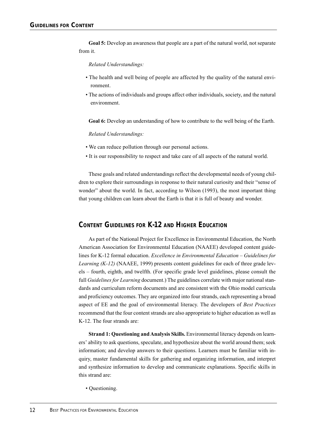**Goal 5:** Develop an awareness that people are a part of the natural world, not separate from it.

#### *Related Understandings:*

- The health and well being of people are affected by the quality of the natural environment.
- The actions of individuals and groups affect other individuals, society, and the natural environment.

**Goal 6:** Develop an understanding of how to contribute to the well being of the Earth.

#### *Related Understandings:*

- We can reduce pollution through our personal actions.
- It is our responsibility to respect and take care of all aspects of the natural world.

These goals and related understandings reflect the developmental needs of young children to explore their surroundings in response to their natural curiosity and their "sense of wonder" about the world. In fact, according to Wilson (1993), the most important thing that young children can learn about the Earth is that it is full of beauty and wonder.

# **CONTENT GUIDELINES FOR K-12 AND HIGHER EDUCATION**

As part of the National Project for Excellence in Environmental Education, the North American Association for Environmental Education (NAAEE) developed content guidelines for K-12 formal education. *Excellence in Environmental Education – Guidelines for Learning (K-12)* (NAAEE, 1999) presents content guidelines for each of three grade levels – fourth, eighth, and twelfth. (For specific grade level guidelines, please consult the full *Guidelines for Learning* document.) The guidelines correlate with major national standards and curriculum reform documents and are consistent with the Ohio model curricula and proficiency outcomes. They are organized into four strands, each representing a broad aspect of EE and the goal of environmental literacy. The developers of *Best Practices* recommend that the four content strands are also appropriate to higher education as well as K-12. The four strands are:

**Strand 1: Questioning and Analysis Skills.** Environmental literacy depends on learners' ability to ask questions, speculate, and hypothesize about the world around them; seek information; and develop answers to their questions. Learners must be familiar with inquiry, master fundamental skills for gathering and organizing information, and interpret and synthesize information to develop and communicate explanations. Specific skills in this strand are:

• Questioning.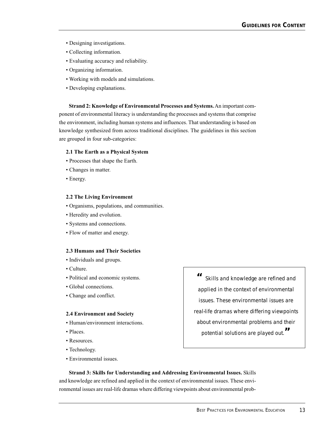- Designing investigations.
- Collecting information.
- Evaluating accuracy and reliability.
- Organizing information.
- Working with models and simulations.
- Developing explanations.

**Strand 2: Knowledge of Environmental Processes and Systems.** An important component of environmental literacy is understanding the processes and systems that comprise the environment, including human systems and influences. That understanding is based on knowledge synthesized from across traditional disciplines. The guidelines in this section are grouped in four sub-categories:

#### **2.1 The Earth as a Physical System**

- Processes that shape the Earth.
- Changes in matter.
- Energy.

#### **2.2 The Living Environment**

- Organisms, populations, and communities.
- Heredity and evolution.
- Systems and connections.
- Flow of matter and energy.

#### **2.3 Humans and Their Societies**

- Individuals and groups.
- Culture.
- Political and economic systems.
- Global connections.
- Change and conflict.

#### **2.4 Environment and Society**

- Human/environment interactions.
- Places.
- Resources.
- Technology.
- Environmental issues.

*" Skills and knowledge are refined and applied in the context of environmental issues. These environmental issues are real-life dramas where differing viewpoints about environmental problems and their potential solutions are played out."*

**Strand 3: Skills for Understanding and Addressing Environmental Issues.** Skills and knowledge are refined and applied in the context of environmental issues. These environmental issues are real-life dramas where differing viewpoints about environmental prob-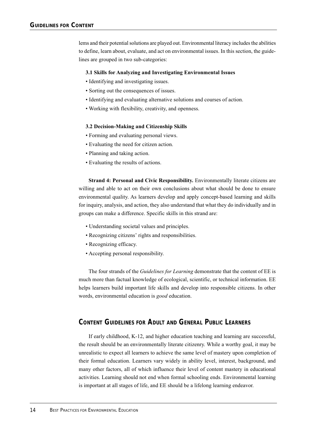lems and their potential solutions are played out. Environmental literacy includes the abilities to define, learn about, evaluate, and act on environmental issues. In this section, the guidelines are grouped in two sub-categories:

#### **3.1 Skills for Analyzing and Investigating Environmental Issues**

- Identifying and investigating issues.
- Sorting out the consequences of issues.
- Identifying and evaluating alternative solutions and courses of action.
- Working with flexibility, creativity, and openness.

#### **3.2 Decision-Making and Citizenship Skills**

- Forming and evaluating personal views.
- Evaluating the need for citizen action.
- Planning and taking action.
- Evaluating the results of actions.

**Strand 4: Personal and Civic Responsibility.** Environmentally literate citizens are willing and able to act on their own conclusions about what should be done to ensure environmental quality. As learners develop and apply concept-based learning and skills for inquiry, analysis, and action, they also understand that what they do individually and in groups can make a difference. Specific skills in this strand are:

- Understanding societal values and principles.
- Recognizing citizens' rights and responsibilities.
- Recognizing efficacy.
- Accepting personal responsibility.

The four strands of the *Guidelines for Learning* demonstrate that the content of EE is much more than factual knowledge of ecological, scientific, or technical information. EE helps learners build important life skills and develop into responsible citizens. In other words, environmental education is *good* education.

#### **CONTENT GUIDELINES FOR ADULT AND GENERAL PUBLIC LEARNERS**

If early childhood, K-12, and higher education teaching and learning are successful, the result should be an environmentally literate citizenry. While a worthy goal, it may be unrealistic to expect all learners to achieve the same level of mastery upon completion of their formal education. Learners vary widely in ability level, interest, background, and many other factors, all of which influence their level of content mastery in educational activities. Learning should not end when formal schooling ends. Environmental learning is important at all stages of life, and EE should be a lifelong learning endeavor.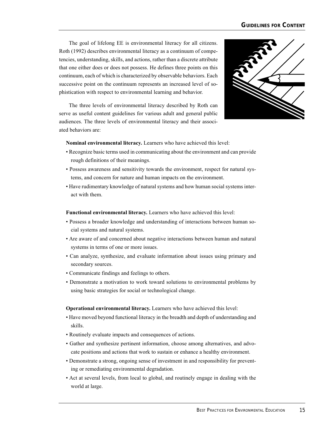The goal of lifelong EE is environmental literacy for all citizens. Roth (1992) describes environmental literacy as a continuum of competencies, understanding, skills, and actions, rather than a discrete attribute that one either does or does not possess. He defines three points on this continuum, each of which is characterized by observable behaviors. Each successive point on the continuum represents an increased level of sophistication with respect to environmental learning and behavior.

The three levels of environmental literacy described by Roth can serve as useful content guidelines for various adult and general public audiences. The three levels of environmental literacy and their associated behaviors are:



**Nominal environmental literacy.** Learners who have achieved this level:

- Recognize basic terms used in communicating about the environment and can provide rough definitions of their meanings.
- Possess awareness and sensitivity towards the environment, respect for natural systems, and concern for nature and human impacts on the environment.
- Have rudimentary knowledge of natural systems and how human social systems interact with them.

**Functional environmental literacy.** Learners who have achieved this level:

- Possess a broader knowledge and understanding of interactions between human social systems and natural systems.
- Are aware of and concerned about negative interactions between human and natural systems in terms of one or more issues.
- Can analyze, synthesize, and evaluate information about issues using primary and secondary sources.
- Communicate findings and feelings to others.
- Demonstrate a motivation to work toward solutions to environmental problems by using basic strategies for social or technological change.

**Operational environmental literacy.** Learners who have achieved this level:

- Have moved beyond functional literacy in the breadth and depth of understanding and skills.
- Routinely evaluate impacts and consequences of actions.
- Gather and synthesize pertinent information, choose among alternatives, and advocate positions and actions that work to sustain or enhance a healthy environment.
- Demonstrate a strong, ongoing sense of investment in and responsibility for preventing or remediating environmental degradation.
- Act at several levels, from local to global, and routinely engage in dealing with the world at large.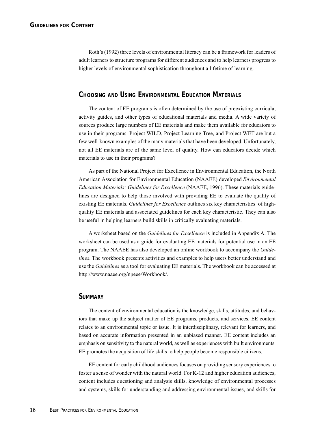Roth's (1992) three levels of environmental literacy can be a framework for leaders of adult learners to structure programs for different audiences and to help learners progress to higher levels of environmental sophistication throughout a lifetime of learning.

#### **CHOOSING AND USING ENVIRONMENTAL EDUCATION MATERIALS**

The content of EE programs is often determined by the use of preexisting curricula, activity guides, and other types of educational materials and media. A wide variety of sources produce large numbers of EE materials and make them available for educators to use in their programs. Project WILD, Project Learning Tree, and Project WET are but a few well-known examples of the many materials that have been developed. Unfortunately, not all EE materials are of the same level of quality. How can educators decide which materials to use in their programs?

As part of the National Project for Excellence in Environmental Education, the North American Association for Environmental Education (NAAEE) developed *Environmental Education Materials: Guidelines for Excellence* (NAAEE, 1996). These materials guidelines are designed to help those involved with providing EE to evaluate the quality of existing EE materials. *Guidelines for Excellence* outlines six key characteristics of highquality EE materials and associated guidelines for each key characteristic. They can also be useful in helping learners build skills in critically evaluating materials.

A worksheet based on the *Guidelines for Excellence* is included in Appendix A. The worksheet can be used as a guide for evaluating EE materials for potential use in an EE program. The NAAEE has also developed an online workbook to accompany the *Guidelines*. The workbook presents activities and examples to help users better understand and use the *Guidelines* as a tool for evaluating EE materials. The workbook can be accessed at http://www.naaee.org/npeee/Workbook/.

#### **SUMMARY**

The content of environmental education is the knowledge, skills, attitudes, and behaviors that make up the subject matter of EE programs, products, and services. EE content relates to an environmental topic or issue. It is interdisciplinary, relevant for learners, and based on accurate information presented in an unbiased manner. EE content includes an emphasis on sensitivity to the natural world, as well as experiences with built environments. EE promotes the acquisition of life skills to help people become responsible citizens.

EE content for early childhood audiences focuses on providing sensory experiences to foster a sense of wonder with the natural world. For K-12 and higher education audiences, content includes questioning and analysis skills, knowledge of environmental processes and systems, skills for understanding and addressing environmental issues, and skills for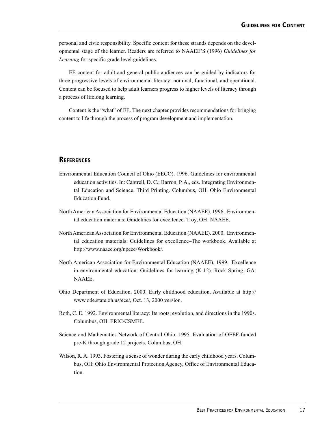personal and civic responsibility. Specific content for these strands depends on the developmental stage of the learner. Readers are referred to NAAEE'S (1996) *Guidelines for Learning* for specific grade level guidelines.

EE content for adult and general public audiences can be guided by indicators for three progressive levels of environmental literacy: nominal, functional, and operational. Content can be focused to help adult learners progress to higher levels of literacy through a process of lifelong learning.

Content is the "what" of EE. The next chapter provides recommendations for bringing content to life through the process of program development and implementation.

#### **REFERENCES**

- Environmental Education Council of Ohio (EECO). 1996. Guidelines for environmental education activities. In: Cantrell, D. C.; Barron, P. A., eds. Integrating Environmental Education and Science. Third Printing. Columbus, OH: Ohio Environmental Education Fund.
- North American Association for Environmental Education (NAAEE). 1996. Environmental education materials: Guidelines for excellence. Troy, OH: NAAEE.
- North American Association for Environmental Education (NAAEE). 2000. Environmental education materials: Guidelines for excellence–The workbook. Available at http://www.naaee.org/npeee/Workbook/.
- North American Association for Environmental Education (NAAEE). 1999. Excellence in environmental education: Guidelines for learning (K-12). Rock Spring, GA: NAAEE.
- Ohio Department of Education. 2000. Early childhood education. Available at http:// www.ode.state.oh.us/ece/, Oct. 13, 2000 version.
- Roth, C. E. 1992. Environmental literacy: Its roots, evolution, and directions in the 1990s. Columbus, OH: ERIC/CSMEE.
- Science and Mathematics Network of Central Ohio. 1995. Evaluation of OEEF-funded pre-K through grade 12 projects. Columbus, OH.
- Wilson, R. A. 1993. Fostering a sense of wonder during the early childhood years. Columbus, OH: Ohio Environmental Protection Agency, Office of Environmental Education.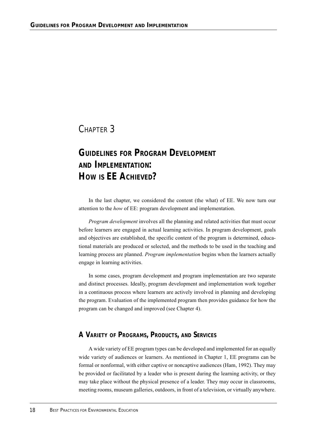# CHAPTER 3

# *GUIDELINES FOR PROGRAM DEVELOPMENT AND IMPLEMENTATION:* **HOW IS EE ACHIEVED?**

In the last chapter, we considered the content (the what) of EE. We now turn our attention to the *how* of EE: program development and implementation.

*Program development* involves all the planning and related activities that must occur before learners are engaged in actual learning activities. In program development, goals and objectives are established, the specific content of the program is determined, educational materials are produced or selected, and the methods to be used in the teaching and learning process are planned. *Program implementation* begins when the learners actually engage in learning activities.

In some cases, program development and program implementation are two separate and distinct processes. Ideally, program development and implementation work together in a continuous process where learners are actively involved in planning and developing the program. Evaluation of the implemented program then provides guidance for how the program can be changed and improved (see Chapter 4).

## **A VARIETY OF PROGRAMS, PRODUCTS, AND SERVICES**

A wide variety of EE program types can be developed and implemented for an equally wide variety of audiences or learners. As mentioned in Chapter 1, EE programs can be formal or nonformal, with either captive or noncaptive audiences (Ham, 1992). They may be provided or facilitated by a leader who is present during the learning activity, or they may take place without the physical presence of a leader. They may occur in classrooms, meeting rooms, museum galleries, outdoors, in front of a television, or virtually anywhere.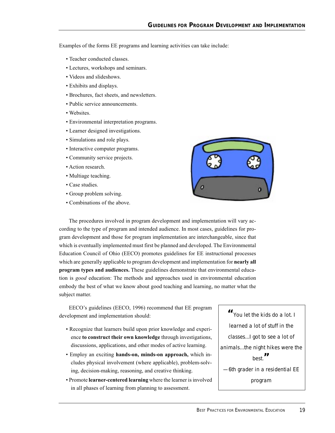Examples of the forms EE programs and learning activities can take include:

- Teacher conducted classes.
- Lectures, workshops and seminars.
- Videos and slideshows.
- Exhibits and displays.
- Brochures, fact sheets, and newsletters.
- Public service announcements.
- Websites.
- Environmental interpretation programs.
- Learner designed investigations.
- Simulations and role plays.
- Interactive computer programs.
- Community service projects.
- Action research.
- Multiage teaching.
- Case studies.
- Group problem solving.
- Combinations of the above.



The procedures involved in program development and implementation will vary according to the type of program and intended audience. In most cases, guidelines for program development and those for program implementation are interchangeable, since that which is eventually implemented must first be planned and developed. The Environmental Education Council of Ohio (EECO) promotes guidelines for EE instructional processes which are generally applicable to program development and implementation for **nearly all program types and audiences.** These guidelines demonstrate that environmental education is *good* education: The methods and approaches used in environmental education embody the best of what we know about good teaching and learning, no matter what the subject matter.

EECO's guidelines (EECO, 1996) recommend that EE program development and implementation should:

- Recognize that learners build upon prior knowledge and experience **to construct their own knowledge** through investigations, discussions, applications, and other modes of active learning.
- Employ an exciting **hands-on, minds-on approach,** which includes physical involvement (where applicable), problem-solving, decision-making, reasoning, and creative thinking.
- Promote **learner-centered learning** where the learner is involved in all phases of learning from planning to assessment.

*"You let the kids do a lot. I learned a lot of stuff in the classes...I got to see a lot of animals...the night hikes were the best." —6th grader in a residential EE program*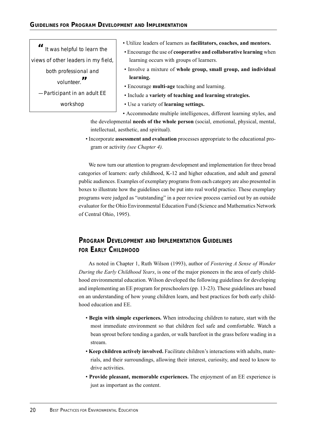*" It was helpful to learn the views of other leaders in my field, both professional and volunteer." —Participant in an adult EE workshop*

- Utilize leaders of learners as **facilitators, coaches, and mentors.**
- Encourage the use of **cooperative and collaborative learning** when learning occurs with groups of learners.
- Involve a mixture of **whole group, small group, and individual learning.**
- Encourage **multi-age** teaching and learning.
- Include a **variety of teaching and learning strategies.**
- Use a variety of **learning settings.**

• Accommodate multiple intelligences, different learning styles, and the developmental **needs of the whole person** (social, emotional, physical, mental, intellectual, aesthetic, and spiritual).

• Incorporate **assessment and evaluation** processes appropriate to the educational program or activity *(see Chapter 4).*

We now turn our attention to program development and implementation for three broad categories of learners: early childhood, K-12 and higher education, and adult and general public audiences. Examples of exemplary programs from each category are also presented in boxes to illustrate how the guidelines can be put into real world practice. These exemplary programs were judged as "outstanding" in a peer review process carried out by an outside evaluator for the Ohio Environmental Education Fund (Science and Mathematics Network of Central Ohio, 1995).

# **PROGRAM DEVELOPMENT AND IMPLEMENTATION GUIDELINES FOR EARLY CHILDHOOD**

As noted in Chapter 1, Ruth Wilson (1993), author of *Fostering A Sense of Wonder During the Early Childhood Years*, is one of the major pioneers in the area of early childhood environmental education. Wilson developed the following guidelines for developing and implementing an EE program for preschoolers (pp. 13-23). These guidelines are based on an understanding of how young children learn, and best practices for both early childhood education and EE.

- **Begin with simple experiences.** When introducing children to nature, start with the most immediate environment so that children feel safe and comfortable. Watch a bean sprout before tending a garden, or walk barefoot in the grass before wading in a stream.
- **Keep children actively involved.** Facilitate children's interactions with adults, materials, and their surroundings, allowing their interest, curiosity, and need to know to drive activities.
- **Provide pleasant, memorable experiences.** The enjoyment of an EE experience is just as important as the content.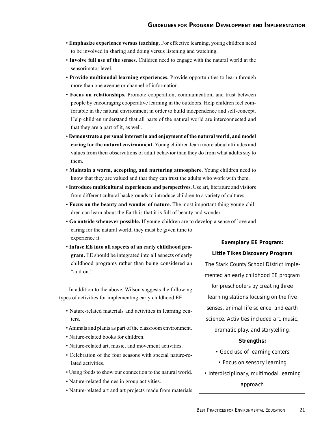- **Emphasize experience versus teaching.** For effective learning, young children need to be involved in sharing and doing versus listening and watching.
- **Involve full use of the senses.** Children need to engage with the natural world at the sensorimotor level.
- **Provide multimodal learning experiences.** Provide opportunities to learn through more than one avenue or channel of information.
- **Focus on relationships.** Promote cooperation, communication, and trust between people by encouraging cooperative learning in the outdoors. Help children feel comfortable in the natural environment in order to build independence and self-concept. Help children understand that all parts of the natural world are interconnected and that they are a part of it, as well.
- **Demonstrate a personal interest in and enjoyment of the natural world, and model caring for the natural environment.** Young children learn more about attitudes and values from their observations of adult behavior than they do from what adults say to them.
- **Maintain a warm, accepting, and nurturing atmosphere.** Young children need to know that they are valued and that they can trust the adults who work with them.
- **Introduce multicultural experiences and perspectives.** Use art, literature and visitors from different cultural backgrounds to introduce children to a variety of cultures.
- **Focus on the beauty and wonder of nature.** The most important thing young children can learn about the Earth is that it is full of beauty and wonder.
- **Go outside whenever possible.** If young children are to develop a sense of love and caring for the natural world, they must be given time to experience it. **Exemplary EE Program:**
- **Infuse EE into all aspects of an early childhood program.** EE should be integrated into all aspects of early childhood programs rather than being considered an "add on."

In addition to the above, Wilson suggests the following types of activities for implementing early childhood EE:

- Nature-related materials and activities in learning centers.
- Animals and plants as part of the classroom environment.
- Nature-related books for children.
- Nature-related art, music, and movement activities.
- Celebration of the four seasons with special nature-related activities.
- Using foods to show our connection to the natural world.
- Nature-related themes in group activities.
- Nature-related art and art projects made from materials

**Little Tikes Discovery Program** *The Stark County School District implemented an early childhood EE program for preschoolers by creating three learning stations focusing on the five senses, animal life science, and earth science. Activities included art, music, dramatic play, and storytelling.*

#### *Strengths:*

- *Good use of learning centers*
- *Focus on sensory learning*
- *Interdisciplinary, multimodal learning approach*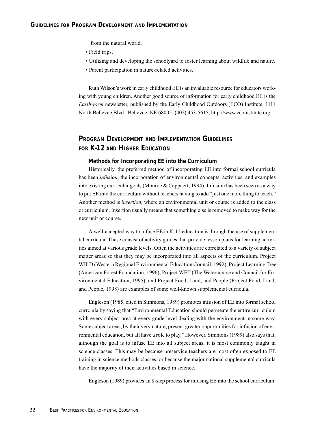from the natural world.

- Field trips.
- Utilizing and developing the schoolyard to foster learning about wildlife and nature.
- Parent participation in nature-related activities.

Ruth Wilson's work in early childhood EE is an invaluable resource for educators working with young children. Another good source of information for early childhood EE is the *Earthworm* newsletter, published by the Early Childhood Outdoors (ECO) Institute, 1111 North Bellevue Blvd., Bellevue, NE 68005; (402) 453-5615, http://www.ecoinstitute.org.

# **PROGRAM DEVELOPMENT AND IMPLEMENTATION GUIDELINES FOR K-12 AND HIGHER EDUCATION**

#### **Methods for Incorporating EE into the Curriculum**

Historically, the preferred method of incorporating EE into formal school curricula has been *infusion*, the incorporation of environmental concepts, activities, and examples into existing curricular goals (Monroe & Cappaert, 1994). Infusion has been seen as a way to put EE into the curriculum without teachers having to add "just one more thing to teach." Another method is *insertion*, where an environmental unit or course is added to the class or curriculum. Insertion usually means that something else is removed to make way for the new unit or course.

A well-accepted way to infuse EE in K-12 education is through the use of supplemental curricula. These consist of activity guides that provide lesson plans for learning activities aimed at various grade levels. Often the activities are correlated to a variety of subject matter areas so that they may be incorporated into all aspects of the curriculum. Project WILD (Western Regional Environmental Education Council, 1992), Project Learning Tree (American Forest Foundation, 1996), Project WET (The Watercourse and Council for Environmental Education, 1995), and Project Food, Land, and People (Project Food, Land, and People, 1998) are examples of some well-known supplemental curricula.

Engleson (1985, cited in Simmons, 1989) promotes infusion of EE into formal school currciula by saying that "Environmental Education should permeate the entire curriculum with every subject area at every grade level dealing with the environment in some way. Some subject areas, by their very nature, present greater opportunities for infusion of environmental education, but all have a role to play." However, Simmons (1989) also says that, although the goal is to infuse EE into all subject areas, it is most commonly taught in science classes. This may be because preservice teachers are most often exposed to EE training in science methods classes, or because the major national supplemental curricula have the majority of their activities based in science.

Engleson (1989) provides an 8-step process for infusing EE into the school curriculum: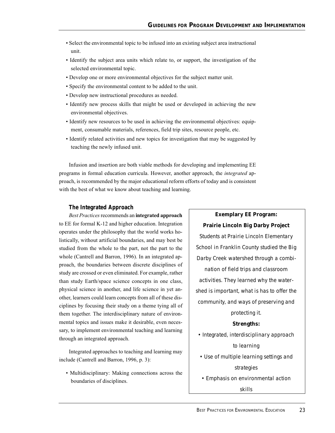- Select the environmental topic to be infused into an existing subject area instructional unit.
- Identify the subject area units which relate to, or support, the investigation of the selected environmental topic.
- Develop one or more environmental objectives for the subject matter unit.
- Specify the environmental content to be added to the unit.
- Develop new instructional procedures as needed.
- Identify new process skills that might be used or developed in achieving the new environmental objectives.
- Identify new resources to be used in achieving the environmental objectives: equipment, consumable materials, references, field trip sites, resource people, etc.
- Identify related activities and new topics for investigation that may be suggested by teaching the newly infused unit.

Infusion and insertion are both viable methods for developing and implementing EE programs in formal education curricula. However, another approach, the *integrated* approach, is recommended by the major educational reform efforts of today and is consistent with the best of what we know about teaching and learning.

#### **The Integrated Approach**

*Best Practices* recommends an **integrated approach** to EE for formal K-12 and higher education. Integration operates under the philosophy that the world works holistically, without artificial boundaries, and may best be studied from the whole to the part, not the part to the whole (Cantrell and Barron, 1996). In an integrated approach, the boundaries between discrete disciplines of study are crossed or even eliminated. For example, rather than study Earth/space science concepts in one class, physical science in another, and life science in yet another, learners could learn concepts from all of these disciplines by focusing their study on a theme tying all of them together. The interdisciplinary nature of environmental topics and issues make it desirable, even necessary, to implement environmental teaching and learning through an integrated approach.

Integrated approaches to teaching and learning may include (Cantrell and Barron, 1996, p. 3):

• Multidisciplinary: Making connections across the boundaries of disciplines.

**Prairie Lincoln Big Darby Project** *Students at Prairie Lincoln Elementary School in Franklin County studied the Big Darby Creek watershed through a combination of field trips and classroom activities. They learned why the watershed is important, what is has to offer the community, and ways of preserving and protecting it. Strengths: • Integrated, interdisciplinary approach to learning • Use of multiple learning settings and strategies • Emphasis on environmental action skills*

**Exemplary EE Program:**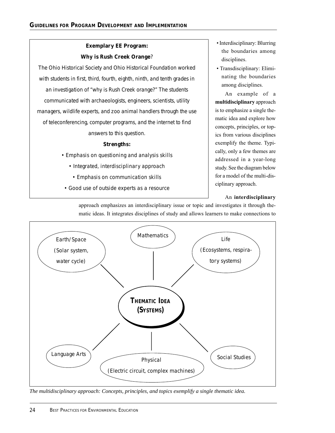# **Exemplary EE Program: Why is Rush Creek Orange**?

*The Ohio Historical Society and Ohio Historical Foundation worked with students in first, third, fourth, eighth, ninth, and tenth grades in an investigation of "why is Rush Creek orange?" The students communicated with archaeologists, engineers, scientists, utility managers, wildlife experts, and zoo animal handlers through the use of teleconferencing, computer programs, and the internet to find answers to this question.*

## *Strengths:*

- *Emphasis on questioning and analysis skills*
	- *Integrated, interdisciplinary approach*
	- *Emphasis on communication skills*
- *Good use of outside experts as a resource*
- Interdisciplinary: Blurring the boundaries among disciplines.
- Transdisciplinary: Eliminating the boundaries among disciplines.

An example of a **multidisciplinary** approach is to emphasize a single thematic idea and explore how concepts, principles, or topics from various disciplines exemplify the theme. Typically, only a few themes are addressed in a year-long study. See the diagram below for a model of the multi-disciplinary approach.

## An **interdisciplinary**



approach emphasizes an interdisciplinary issue or topic and investigates it through thematic ideas. It integrates disciplines of study and allows learners to make connections to

*The multidisciplinary approach: Concepts, principles, and topics exemplify a single thematic idea.*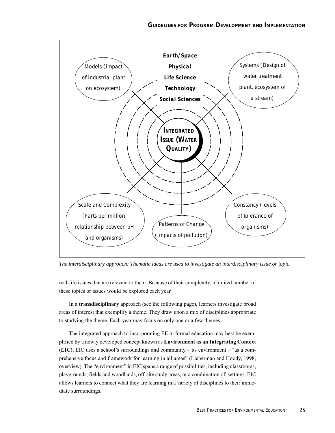

*The interdisciplinary approach: Thematic ideas are used to investigate an interdisciplinary issue or topic.*

real-life issues that are relevant to them. Because of their complexity, a limited number of these topics or issues would be explored each year.

In a **transdisciplinary** approach (see the following page), learners investigate broad areas of interest that exemplify a theme. They draw upon a mix of disciplines appropriate to studying the theme. Each year may focus on only one or a few themes.

The integrated approach to incorporating EE in formal education may best be exemplified by a newly developed concept known as **Environment as an Integrating Context (EIC).** EIC uses a school's surroundings and community – its environment – "as a comprehensive focus and framework for learning in all areas" (Lieberman and Hoody, 1998, overview). The "environment" in EIC spans a range of possibilities, including classrooms, playgrounds, fields and woodlands, off-site study areas, or a combination of settings. EIC allows learners to connect what they are learning in a variety of disciplines to their immediate surroundings.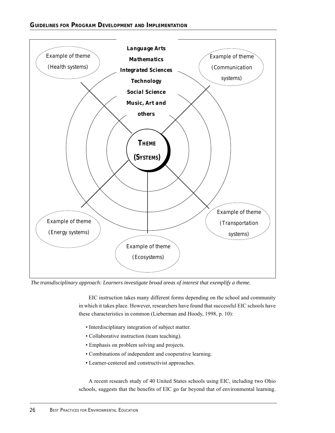

*The transdisciplinary approach: Learners investigate broad areas of interest that exemplify a theme.*

EIC instruction takes many different forms depending on the school and community in which it takes place. However, researchers have found that successful EIC schools have these characteristics in common (Lieberman and Hoody, 1998, p. 10):

- Interdisciplinary integration of subject matter.
- Collaborative instruction (team teaching).
- Emphasis on problem solving and projects.
- Combinations of independent and cooperative learning.
- Learner-centered and constructivist approaches.

A recent research study of 40 United States schools using EIC, including two Ohio schools, suggests that the benefits of EIC go far beyond that of environmental learning.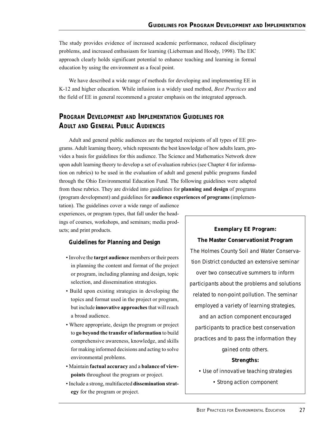The study provides evidence of increased academic performance, reduced disciplinary problems, and increased enthusiasm for learning (Lieberman and Hoody, 1998). The EIC approach clearly holds significant potential to enhance teaching and learning in formal education by using the environment as a focal point.

We have described a wide range of methods for developing and implementing EE in K-12 and higher education. While infusion is a widely used method, *Best Practices* and the field of EE in general recommend a greater emphasis on the integrated approach.

# **PROGRAM DEVELOPMENT AND IMPLEMENTATION GUIDELINES FOR ADULT AND GENERAL PUBLIC AUDIENCES**

Adult and general public audiences are the targeted recipients of all types of EE programs. Adult learning theory, which represents the best knowledge of how adults learn, provides a basis for guidelines for this audience. The Science and Mathematics Network drew upon adult learning theory to develop a set of evaluation rubrics (see Chapter 4 for information on rubrics) to be used in the evaluation of adult and general public programs funded through the Ohio Environmental Education Fund. The following guidelines were adapted from these rubrics. They are divided into guidelines for **planning and design** of programs (program development) and guidelines for **audience experiences of programs** (implemen-

tation). The guidelines cover a wide range of audience experiences, or program types, that fall under the headings of courses, workshops, and seminars; media products; and print products.

#### **Guidelines for Planning and Design**

- Involve the **target audience** members or their peers in planning the content and format of the project or program, including planning and design, topic selection, and dissemination strategies.
- Build upon existing strategies in developing the topics and format used in the project or program, but include **innovative approaches** that will reach a broad audience.
- Where appropriate, design the program or project to **go beyond the transfer of information** to build comprehensive awareness, knowledge, and skills for making informed decisions and acting to solve environmental problems.
- Maintain **factual accuracy** and a **balance of viewpoints** throughout the program or project.
- Include a strong, multifaceted **dissemination strategy** for the program or project.

## **Exemplary EE Program:**

# **The Master Conservationist Program** *The Holmes County Soil and Water Conserva-*

*tion District conducted an extensive seminar over two consecutive summers to inform participants about the problems and solutions related to non-point pollution. The seminar employed a variety of learning strategies, and an action component encouraged participants to practice best conservation practices and to pass the information they gained onto others. Strengths:*

*• Use of innovative teaching strategies*

*• Strong action component*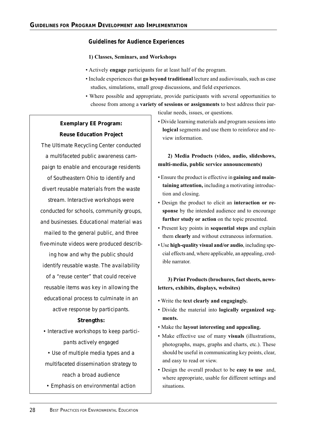#### **Guidelines for Audience Experiences**

#### **1) Classes, Seminars, and Workshops**

- Actively **engage** participants for at least half of the program.
- Include experiences that **go beyond traditional** lecture and audiovisuals, such as case studies, simulations, small group discussions, and field experiences.
- Where possible and appropriate, provide participants with several opportunities to choose from among a **variety of sessions or assignments** to best address their par-

ticular needs, issues, or questions.

# **Exemplary EE Program: Reuse Education Project**

*The Ultimate Recycling Center conducted a multifaceted public awareness campaign to enable and encourage residents of Southeastern Ohio to identify and divert reusable materials from the waste stream. Interactive workshops were conducted for schools, community groups, and businesses. Educational material was mailed to the general public, and three five-minute videos were produced describing how and why the public should identify reusable waste. The availability of a "reuse center" that could receive reusable items was key in allowing the educational process to culminate in an active response by participants.*

#### *Strengths:*

- *Interactive workshops to keep participants actively engaged*
- *Use of multiple media types and a multifaceted dissemination strategy to reach a broad audience*
- *Emphasis on environmental action*

• Divide learning materials and program sessions into **logical** segments and use them to reinforce and review information.

## **2) Media Products (video, audio, slideshows, multi-media, public service announcements)**

- Ensure the product is effective in **gaining and maintaining attention,** including a motivating introduction and closing.
- Design the product to elicit an **interaction or response** by the intended audience and to encourage **further study or action** on the topic presented.
- Present key points in **sequential steps** and explain them **clearly** and without extraneous information.
- Use **high-quality visual and/or audio**, including special effects and, where applicable, an appealing, credible narrator.

#### **3) Print Products (brochures, fact sheets, newsletters, exhibits, displays, websites)**

- Write the **text clearly and engagingly.**
- Divide the material into **logically organized segments.**
- Make the **layout interesting and appealing.**
- Make effective use of many **visuals** (illustrations, photographs, maps, graphs and charts, etc.). These should be useful in communicating key points, clear, and easy to read or view.
- Design the overall product to be **easy to use** and, where appropriate, usable for different settings and situations.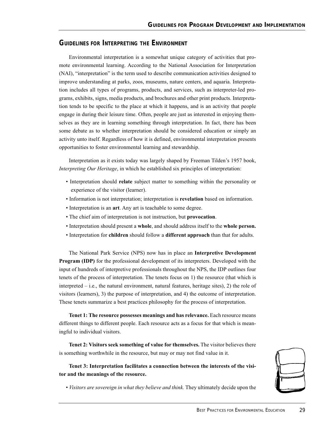#### **GUIDELINES FOR INTERPRETING THE ENVIRONMENT**

Environmental interpretation is a somewhat unique category of activities that promote environmental learning. According to the National Association for Interpretation (NAI), "interpretation" is the term used to describe communication activities designed to improve understanding at parks, zoos, museums, nature centers, and aquaria. Interpretation includes all types of programs, products, and services, such as interpreter-led programs, exhibits, signs, media products, and brochures and other print products. Interpretation tends to be specific to the place at which it happens, and is an activity that people engage in during their leisure time. Often, people are just as interested in enjoying themselves as they are in learning something through interpretation. In fact, there has been some debate as to whether interpretation should be considered education or simply an activity unto itself. Regardless of how it is defined, environmental interpretation presents opportunities to foster environmental learning and stewardship.

Interpretation as it exists today was largely shaped by Freeman Tilden's 1957 book, *Interpreting Our Heritage*, in which he established six principles of interpretation:

- Interpretation should **relate** subject matter to something within the personality or experience of the visitor (learner).
- Information is not interpretation; interpretation is **revelation** based on information.
- Interpretation is an **art**. Any art is teachable to some degree.
- The chief aim of interpretation is not instruction, but **provocation**.
- Interpretation should present a **whole**, and should address itself to the **whole person.**
- Interpretation for **children** should follow a **different approach** than that for adults.

The National Park Service (NPS) now has in place an **Interpretive Development Program (IDP)** for the professional development of its interpreters. Developed with the input of hundreds of interpretive professionals throughout the NPS, the IDP outlines four tenets of the process of interpretation. The tenets focus on 1) the resource (that which is interpreted – i.e., the natural environment, natural features, heritage sites), 2) the role of visitors (learners), 3) the purpose of interpretation, and 4) the outcome of interpretation. These tenets summarize a best practices philosophy for the process of interpretation.

**Tenet 1: The resource possesses meanings and has relevance.** Each resource means different things to different people. Each resource acts as a focus for that which is meaningful to individual visitors.

**Tenet 2: Visitors seek something of value for themselves.** The visitor believes there is something worthwhile in the resource, but may or may not find value in it.

**Tenet 3: Interpretation facilitates a connection between the interests of the visitor and the meanings of the resource.**

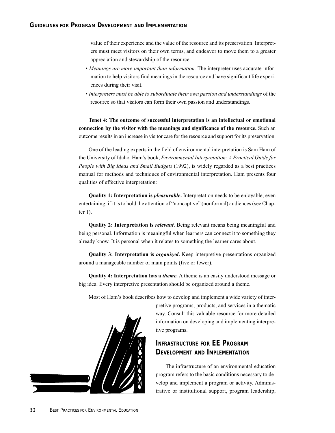value of their experience and the value of the resource and its preservation. Interpreters must meet visitors on their own terms, and endeavor to move them to a greater appreciation and stewardship of the resource.

- *Meanings are more important than information.* The interpreter uses accurate information to help visitors find meanings in the resource and have significant life experiences during their visit.
- *Interpreters must be able to subordinate their own passion and understandings* of the resource so that visitors can form their own passion and understandings.

**Tenet 4: The outcome of successful interpretation is an intellectual or emotional connection by the visitor with the meanings and significance of the resource.** Such an outcome results in an increase in visitor care for the resource and support for its preservation.

One of the leading experts in the field of environmental interpretation is Sam Ham of the University of Idaho. Ham's book, *Environmental Interpretation: A Practical Guide for People with Big Ideas and Small Budgets* (1992), is widely regarded as a best practices manual for methods and techniques of environmental interpretation. Ham presents four qualities of effective interpretation:

**Quality 1: Interpretation is** *pleasurable***.** Interpretation needs to be enjoyable, even entertaining, if it is to hold the attention of "noncaptive" (nonformal) audiences (see Chapter 1).

**Quality 2: Interpretation is** *relevant***.** Being relevant means being meaningful and being personal. Information is meaningful when learners can connect it to something they already know. It is personal when it relates to something the learner cares about.

**Quality 3: Interpretation is** *organized***.** Keep interpretive presentations organized around a manageable number of main points (five or fewer).

**Quality 4: Interpretation has a** *theme***.** A theme is an easily understood message or big idea. Every interpretive presentation should be organized around a theme.

Most of Ham's book describes how to develop and implement a wide variety of inter-



pretive programs, products, and services in a thematic way. Consult this valuable resource for more detailed information on developing and implementing interpretive programs.

## **INFRASTRUCTURE FOR EE PROGRAM DEVELOPMENT AND IMPLEMENTATION**

The infrastructure of an environmental education program refers to the basic conditions necessary to develop and implement a program or activity. Administrative or institutional support, program leadership,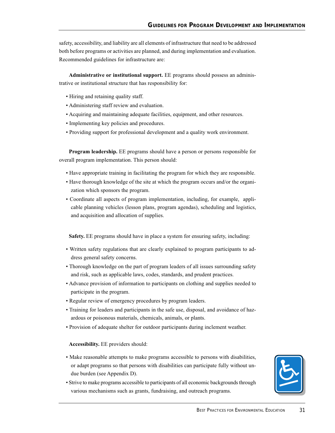safety, accessibility, and liability are all elements of infrastructure that need to be addressed both before programs or activities are planned, and during implementation and evaluation. Recommended guidelines for infrastructure are:

**Administrative or institutional support.** EE programs should possess an administrative or institutional structure that has responsibility for:

- Hiring and retaining quality staff.
- Administering staff review and evaluation.
- Acquiring and maintaining adequate facilities, equipment, and other resources.
- Implementing key policies and procedures.
- Providing support for professional development and a quality work environment.

**Program leadership.** EE programs should have a person or persons responsible for overall program implementation. This person should:

- Have appropriate training in facilitating the program for which they are responsible.
- Have thorough knowledge of the site at which the program occurs and/or the organization which sponsors the program.
- Coordinate all aspects of program implementation, including, for example, applicable planning vehicles (lesson plans, program agendas), scheduling and logistics, and acquisition and allocation of supplies.

**Safety.** EE programs should have in place a system for ensuring safety, including:

- Written safety regulations that are clearly explained to program participants to address general safety concerns.
- Thorough knowledge on the part of program leaders of all issues surrounding safety and risk, such as applicable laws, codes, standards, and prudent practices.
- Advance provision of information to participants on clothing and supplies needed to participate in the program.
- Regular review of emergency procedures by program leaders.
- Training for leaders and participants in the safe use, disposal, and avoidance of hazardous or poisonous materials, chemicals, animals, or plants.
- Provision of adequate shelter for outdoor participants during inclement weather.

#### **Accessibility.** EE providers should:

- Make reasonable attempts to make programs accessible to persons with disabilities, or adapt programs so that persons with disabilities can participate fully without undue burden (see Appendix D).
- Strive to make programs accessible to participants of all economic backgrounds through various mechanisms such as grants, fundraising, and outreach programs.

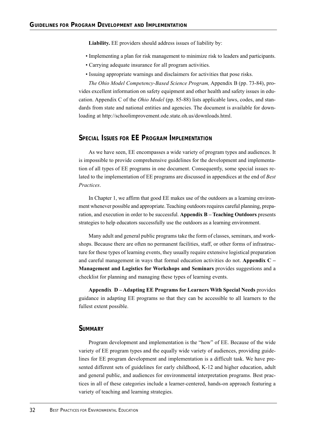**Liability.** EE providers should address issues of liability by:

- Implementing a plan for risk management to minimize risk to leaders and participants.
- Carrying adequate insurance for all program activities.
- Issuing appropriate warnings and disclaimers for activities that pose risks.

*The Ohio Model Competency-Based Science Program,* Appendix B (pp. 73-84), provides excellent information on safety equipment and other health and safety issues in education. Appendix C of the *Ohio Model* (pp. 85-88) lists applicable laws, codes, and standards from state and national entities and agencies. The document is available for downloading at http://schoolimprovement.ode.state.oh.us/downloads.html.

#### **SPECIAL ISSUES FOR EE PROGRAM IMPLEMENTATION**

As we have seen, EE encompasses a wide variety of program types and audiences. It is impossible to provide comprehensive guidelines for the development and implementation of all types of EE programs in one document. Consequently, some special issues related to the implementation of EE programs are discussed in appendices at the end of *Best Practices*.

In Chapter 1, we affirm that good EE makes use of the outdoors as a learning environment whenever possible and appropriate. Teaching outdoors requires careful planning, preparation, and execution in order to be successful. **Appendix B – Teaching Outdoors** presents strategies to help educators successfully use the outdoors as a learning environment.

Many adult and general public programs take the form of classes, seminars, and workshops. Because there are often no permanent facilities, staff, or other forms of infrastructure for these types of learning events, they usually require extensive logistical preparation and careful management in ways that formal education activities do not. **Appendix C – Management and Logistics for Workshops and Seminars** provides suggestions and a checklist for planning and managing these types of learning events.

**Appendix D – Adapting EE Programs for Learners With Special Needs** provides guidance in adapting EE programs so that they can be accessible to all learners to the fullest extent possible.

#### **SUMMARY**

Program development and implementation is the "how" of EE. Because of the wide variety of EE program types and the equally wide variety of audiences, providing guidelines for EE program development and implementation is a difficult task. We have presented different sets of guidelines for early childhood, K-12 and higher education, adult and general public, and audiences for environmental interpretation programs. Best practices in all of these categories include a learner-centered, hands-on approach featuring a variety of teaching and learning strategies.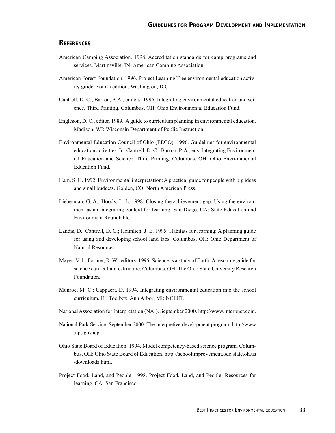#### **REFERENCES**

- American Camping Association. 1998. Accreditation standards for camp programs and services. Martinsville, IN: American Camping Association.
- American Forest Foundation. 1996. Project Learning Tree environmental education activity guide. Fourth edition. Washington, D.C.
- Cantrell, D. C.; Barron, P. A., editors. 1996. Integrating environmental education and science. Third Printing. Columbus, OH: Ohio Environmental Education Fund.
- Engleson, D. C., editor. 1989. A guide to curriculum planning in environmental education. Madison, WI: Wisconsin Department of Public Instruction.
- Environmental Education Council of Ohio (EECO). 1996. Guidelines for environmental education activities. In: Cantrell, D. C.; Barron, P. A., eds. Integrating Environmental Education and Science. Third Printing. Columbus, OH: Ohio Environmental Education Fund.
- Ham, S. H. 1992. Environmental interpretation: A practical guide for people with big ideas and small budgets. Golden, CO: North American Press.
- Lieberman, G. A.; Hoody, L. L. 1998. Closing the achievement gap: Using the environment as an integrating context for learning. San Diego, CA: State Education and Environment Roundtable.
- Landis, D.; Cantrell, D. C.; Heimlich, J. E. 1995. Habitats for learning: A planning guide for using and developing school land labs. Columbus, OH: Ohio Department of Natural Resources.
- Mayer, V. J.; Fortner, R. W., editors. 1995. Science is a study of Earth: A resource guide for science curriculum restructure. Columbus, OH: The Ohio State University Research Foundation.
- Monroe, M. C.; Cappaert, D. 1994. Integrating environmental education into the school curriculum. EE Toolbox. Ann Arbor, MI: NCEET.
- National Association for Interpretation (NAI). September 2000. http://www.interpnet.com.
- National Park Service. September 2000. The interpretive development program. http://www .nps.gov.idp.
- Ohio State Board of Education. 1994. Model competency-based science program. Columbus, OH: Ohio State Board of Education. http://schoolimprovement.ode.state.oh.us /downloads.html.
- Project Food, Land, and People. 1998. Project Food, Land, and People: Resources for learning. CA: San Francisco.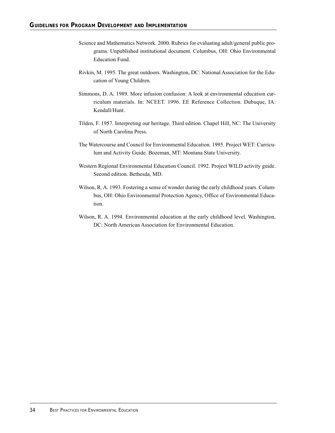- Science and Mathematics Network. 2000. Rubrics for evaluating adult/general public programs. Unpublished institutional document. Columbus, OH: Ohio Environmental Education Fund.
- Rivkin, M. 1995. The great outdoors. Washington, DC: National Association for the Education of Young Children.
- Simmons, D. A. 1989. More infusion confusion: A look at environmental education curriculum materials. In: NCEET. 1996. EE Reference Collection. Dubuque, IA: Kendall/Hunt.
- Tilden, F. 1957. Interpreting our heritage. Third edition. Chapel Hill, NC: The University of North Carolina Press.
- The Watercourse and Council for Environmental Education. 1995. Project WET: Curriculum and Activity Guide. Bozeman, MT: Montana State University.
- Western Regional Environmental Education Council. 1992. Project WILD activity guide. Second edition. Bethesda, MD.
- Wilson, R. A. 1993. Fostering a sense of wonder during the early childhood years. Columbus, OH: Ohio Environmental Protection Agency, Office of Environmental Education.
- Wilson, R. A. 1994. Environmental education at the early childhood level. Washington, DC: North American Association for Environmental Education.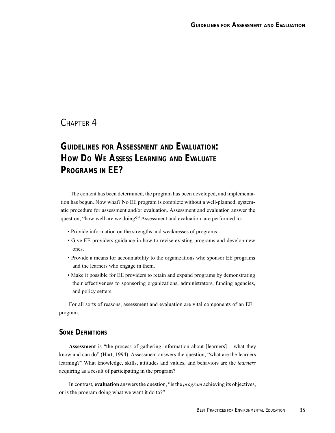## CHAPTER 4

# *GUIDELINES FOR ASSESSMENT AND EVALUATION:* **HOW DO WE ASSESS LEARNING AND EVALUATE PROGRAMS IN EE?**

The content has been determined, the program has been developed, and implementation has begun. Now what? No EE program is complete without a well-planned, systematic procedure for assessment and/or evaluation. Assessment and evaluation answer the question, "how well are we doing?" Assessment and evaluation are performed to:

- Provide information on the strengths and weaknesses of programs.
- Give EE providers guidance in how to revise existing programs and develop new ones.
- Provide a means for accountability to the organizations who sponsor EE programs and the learners who engage in them.
- Make it possible for EE providers to retain and expand programs by demonstrating their effectiveness to sponsoring organizations, administrators, funding agencies, and policy setters.

For all sorts of reasons, assessment and evaluation are vital components of an EE program.

#### **SOME DEFINITIONS**

**Assessment** is "the process of gathering information about [learners] – what they know and can do" (Hart, 1994). Assessment answers the question, "what are the learners learning?" What knowledge, skills, attitudes and values, and behaviors are the *learners* acquiring as a result of participating in the program?

In contrast, **evaluation** answers the question, "is the *program* achieving its objectives, or is the program doing what we want it do to?"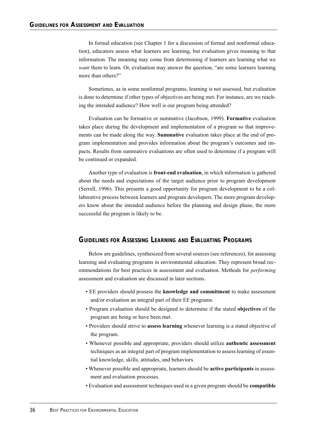In formal education (see Chapter 1 for a discussion of formal and nonformal education), educators assess what learners are learning, but evaluation gives meaning to that information. The meaning may come from determining if learners are learning what we *want* them to learn. Or, evaluation may answer the question, "are some learners learning more than others?"

Sometimes, as in some nonformal programs, learning is not assessed, but evaluation is done to determine if other types of objectives are being met. For instance, are we reaching the intended audience? How well is our program being attended?

Evaluation can be formative or summative (Jacobson, 1999). **Formative** evaluation takes place during the development and implementation of a program so that improvements can be made along the way. **Summative** evaluation takes place at the end of program implementation and provides information about the program's outcomes and impacts. Results from summative evaluations are often used to determine if a program will be continued or expanded.

Another type of evaluation is **front-end evaluation**, in which information is gathered about the needs and expectations of the target audience prior to program development (Serrell, 1996). This presents a good opportunity for program development to be a collaborative process between learners and program developers. The more program developers know about the intended audience before the planning and design phase, the more successful the program is likely to be.

#### **GUIDELINES FOR ASSESSING LEARNING AND EVALUATING PROGRAMS**

Below are guidelines, synthesized from several sources (see references), for assessing learning and evaluating programs in environmental education. They represent broad recommendations for best practices in assessment and evaluation. Methods for *performing* assessment and evaluation are discussed in later sections.

- EE providers should possess the **knowledge and commitment** to make assessment and/or evaluation an integral part of their EE programs.
- Program evaluation should be designed to determine if the stated **objectives** of the program are being or have been met.
- Providers should strive to **assess learning** whenever learning is a stated objective of the program.
- Whenever possible and appropriate, providers should utilize **authentic assessment** techniques as an integral part of program implementation to assess learning of essential knowledge, skills, attitudes, and behaviors.
- Whenever possible and appropriate, learners should be **active participants** in assessment and evaluation processes.
- Evaluation and assessment techniques used in a given program should be **compatible**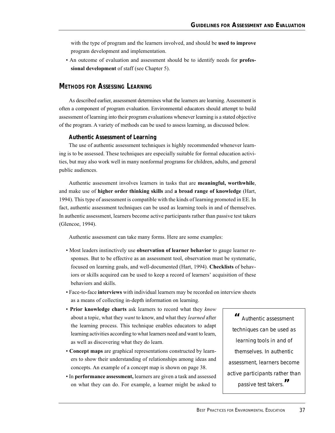with the type of program and the learners involved, and should be **used to improve** program development and implementation.

• An outcome of evaluation and assessment should be to identify needs for **professional development** of staff (see Chapter 5).

#### **METHODS FOR ASSESSING LEARNING**

As described earlier, assessment determines what the learners are learning. Assessment is often a component of program evaluation. Environmental educators should attempt to build assessment of learning into their program evaluations whenever learning is a stated objective of the program. A variety of methods can be used to assess learning, as discussed below.

#### **Authentic Assessment of Learning**

The use of authentic assessment techniques is highly recommended whenever learning is to be assessed. These techniques are especially suitable for formal education activities, but may also work well in many nonformal programs for children, adults, and general public audiences.

Authentic assessment involves learners in tasks that are **meaningful, worthwhile**, and make use of **higher order thinking skills** and **a broad range of knowledge** (Hart, 1994). This type of assessment is compatible with the kinds of learning promoted in EE. In fact, authentic assessment techniques can be used as learning tools in and of themselves. In authentic assessment, learners become active participants rather than passive test takers (Glencoe, 1994).

Authentic assessment can take many forms. Here are some examples:

- Most leaders instinctively use **observation of learner behavior** to gauge learner responses. But to be effective as an assessment tool, observation must be systematic, focused on learning goals, and well-documented (Hart, 1994). **Checklists** of behaviors or skills acquired can be used to keep a record of learners' acquisition of these behaviors and skills.
- Face-to-face **interviews** with individual learners may be recorded on interview sheets as a means of collecting in-depth information on learning.
- **Prior knowledge charts** ask learners to record what they *know* about a topic, what they *want* to know, and what they *learned* after the learning process. This technique enables educators to adapt learning activities according to what learners need and want to learn, as well as discovering what they do learn.
- **Concept maps** are graphical representations constructed by learners to show their understanding of relationships among ideas and concepts. An example of a concept map is shown on page 38.
- In **performance assessment,** learners are given a task and assessed on what they can do. For example, a learner might be asked to

*" Authentic assessment techniques can be used as learning tools in and of themselves. In authentic assessment, learners become active participants rather than passive test takers."*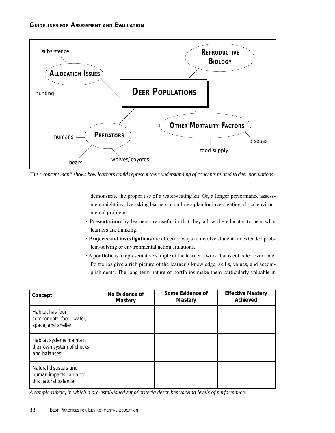

*This "concept map" shows how learners could represent their understanding of concepts related to deer populations.*

demonstrate the proper use of a water-testing kit. Or, a longer performance assessment might involve asking learners to outline a plan for investigating a local environmental problem.

- **Presentations** by learners are useful in that they allow the educator to hear what learners are thinking.
- **Projects and investigations** are effective ways to involve students in extended problem-solving or environmental action situations.
- A **portfolio** is a representative sample of the learner's work that is collected over time. Portfolios give a rich picture of the learner's knowledge, skills, values, and accomplishments. The long-term nature of portfolios make them particularly valuable in

| Concept                                                                  | No Evidence of<br><b>Mastery</b> | Some Evidence of<br><b>Mastery</b> | <b>Effective Mastery</b><br><b>Achieved</b> |
|--------------------------------------------------------------------------|----------------------------------|------------------------------------|---------------------------------------------|
| Habitat has four<br>components: food, water,<br>space, and shelter       |                                  |                                    |                                             |
| Habitat systems maintain<br>their own system of checks<br>and balances   |                                  |                                    |                                             |
| Natural disasters and<br>human impacts can alter<br>this natural balance |                                  |                                    |                                             |

*A sample rubric, in which a pre-established set of criteria describes varying levels of performance.*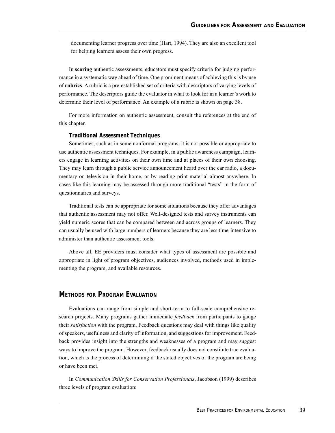documenting learner progress over time (Hart, 1994). They are also an excellent tool for helping learners assess their own progress.

In **scoring** authentic assessments, educators must specify criteria for judging performance in a systematic way ahead of time. One prominent means of achieving this is by use of **rubrics**. A rubric is a pre-established set of criteria with descriptors of varying levels of performance. The descriptors guide the evaluator in what to look for in a learner's work to determine their level of performance. An example of a rubric is shown on page 38.

For more information on authentic assessment, consult the references at the end of this chapter.

#### **Traditional Assessment Techniques**

Sometimes, such as in some nonformal programs, it is not possible or appropriate to use authentic assessment techniques. For example, in a public awareness campaign, learners engage in learning activities on their own time and at places of their own choosing. They may learn through a public service announcement heard over the car radio, a documentary on television in their home, or by reading print material almost anywhere. In cases like this learning may be assessed through more traditional "tests" in the form of questionnaires and surveys.

Traditional tests can be appropriate for some situations because they offer advantages that authentic assessment may not offer. Well-designed tests and survey instruments can yield numeric scores that can be compared between and across groups of learners. They can usually be used with large numbers of learners because they are less time-intensive to administer than authentic assessment tools.

Above all, EE providers must consider what types of assessment are possible and appropriate in light of program objectives, audiences involved, methods used in implementing the program, and available resources.

#### **METHODS FOR PROGRAM EVALUATION**

Evaluations can range from simple and short-term to full-scale comprehensive research projects. Many programs gather immediate *feedback* from participants to gauge their *satisfaction* with the program. Feedback questions may deal with things like quality of speakers, usefulness and clarity of information, and suggestions for improvement. Feedback provides insight into the strengths and weaknesses of a program and may suggest ways to improve the program. However, feedback usually does not constitute true evaluation, which is the process of determining if the stated objectives of the program are being or have been met.

In *Communication Skills for Conservation Professionals*, Jacobson (1999) describes three levels of program evaluation: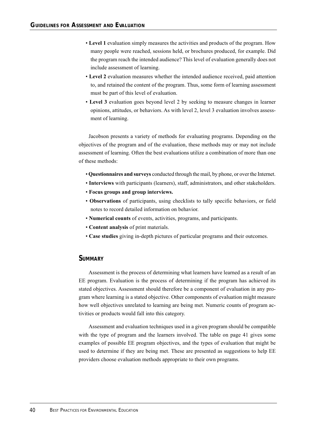- **Level 1** evaluation simply measures the activities and products of the program. How many people were reached, sessions held, or brochures produced, for example. Did the program reach the intended audience? This level of evaluation generally does not include assessment of learning.
- **Level 2** evaluation measures whether the intended audience received, paid attention to, and retained the content of the program. Thus, some form of learning assessment must be part of this level of evaluation.
- **Level 3** evaluation goes beyond level 2 by seeking to measure changes in learner opinions, attitudes, or behaviors. As with level 2, level 3 evaluation involves assessment of learning.

Jacobson presents a variety of methods for evaluating programs. Depending on the objectives of the program and of the evaluation, these methods may or may not include assessment of learning. Often the best evaluations utilize a combination of more than one of these methods:

- **Questionnaires and surveys** conducted through the mail, by phone, or over the Internet.
- **Interviews** with participants (learners), staff, administrators, and other stakeholders.
- **Focus groups and group interviews.**
- **Observations** of participants, using checklists to tally specific behaviors, or field notes to record detailed information on behavior.
- **Numerical counts** of events, activities, programs, and participants.
- **Content analysis** of print materials.
- **Case studies** giving in-depth pictures of particular programs and their outcomes.

#### **SUMMARY**

Assessment is the process of determining what learners have learned as a result of an EE program. Evaluation is the process of determining if the program has achieved its stated objectives. Assessment should therefore be a component of evaluation in any program where learning is a stated objective. Other components of evaluation might measure how well objectives unrelated to learning are being met. Numeric counts of program activities or products would fall into this category.

Assessment and evaluation techniques used in a given program should be compatible with the type of program and the learners involved. The table on page 41 gives some examples of possible EE program objectives, and the types of evaluation that might be used to determine if they are being met. These are presented as suggestions to help EE providers choose evaluation methods appropriate to their own programs.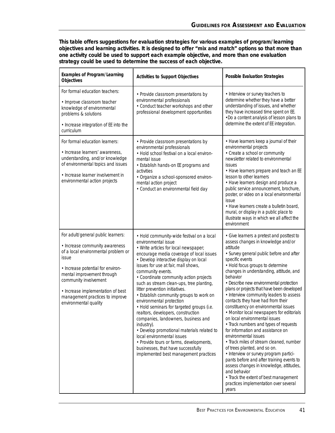**This table offers suggestions for evaluation strategies for various examples of program/learning objectives and learning activities. It is designed to offer "mix and match" options so that more than one activity could be used to support each example objective, and more than one evaluation strategy could be used to determine the success of each objective.**

| <b>Examples of Program/Learning</b><br><b>Objectives</b>                                                                                                                                                                                                                                                          | <b>Activities to Support Objectives</b>                                                                                                                                                                                                                                                                                                                                                                                                                                                                                                                                                                                                                                                                                                                                                                  | <b>Possible Evaluation Strategies</b>                                                                                                                                                                                                                                                                                                                                                                                                                                                                                                                                                                                                                                                                                                                                                                                                                                                                                                                                              |
|-------------------------------------------------------------------------------------------------------------------------------------------------------------------------------------------------------------------------------------------------------------------------------------------------------------------|----------------------------------------------------------------------------------------------------------------------------------------------------------------------------------------------------------------------------------------------------------------------------------------------------------------------------------------------------------------------------------------------------------------------------------------------------------------------------------------------------------------------------------------------------------------------------------------------------------------------------------------------------------------------------------------------------------------------------------------------------------------------------------------------------------|------------------------------------------------------------------------------------------------------------------------------------------------------------------------------------------------------------------------------------------------------------------------------------------------------------------------------------------------------------------------------------------------------------------------------------------------------------------------------------------------------------------------------------------------------------------------------------------------------------------------------------------------------------------------------------------------------------------------------------------------------------------------------------------------------------------------------------------------------------------------------------------------------------------------------------------------------------------------------------|
| For formal education teachers:<br>· Improve classroom teacher<br>knowledge of environmental<br>problems & solutions<br>• Increase integration of EE into the<br>curriculum                                                                                                                                        | • Provide classroom presentations by<br>environmental professionals<br>• Conduct teacher workshops and other<br>professional development opportunities                                                                                                                                                                                                                                                                                                                                                                                                                                                                                                                                                                                                                                                   | • Interview or survey teachers to<br>determine whether they have a better<br>understanding of issues, and whether<br>they have increased time spent on EE.<br>. Do a content analysis of lesson plans to<br>determine the extent of EE integration.                                                                                                                                                                                                                                                                                                                                                                                                                                                                                                                                                                                                                                                                                                                                |
| For formal education learners:<br>· Increase learners' awareness,<br>understanding, and/or knowledge<br>of environmental topics and issues<br>• Increase learner involvement in<br>environmental action projects                                                                                                  | • Provide classroom presentations by<br>environmental professionals<br>• Hold school festival on a local environ-<br>mental issue<br>• Establish hands-on EE programs and<br>activities<br>• Organize a school-sponsored environ-<br>mental action project<br>· Conduct an environmental field day                                                                                                                                                                                                                                                                                                                                                                                                                                                                                                       | • Have learners keep a journal of their<br>environmental projects<br>• Create a school or community<br>newsletter related to environmental<br>issues<br>• Have learners prepare and teach an EE<br>lesson to other learners<br>• Have learners design and produce a<br>public service announcement, brochure,<br>poster, or video on a local environmental<br>issue<br>• Have learners create a bulletin board,<br>mural, or display in a public place to<br>illustrate ways in which we all affect the<br>environment                                                                                                                                                                                                                                                                                                                                                                                                                                                             |
| For adult/general public learners:<br>• Increase community awareness<br>of a local environmental problem or<br>issue<br>• Increase potential for environ-<br>mental improvement through<br>community involvement<br>• Increase implementation of best<br>management practices to improve<br>environmental quality | • Hold community-wide festival on a local<br>environmental issue<br>• Write articles for local newspaper;<br>encourage media coverage of local issues<br>• Develop interactive display on local<br>issues for use at fair, mall shows,<br>community events.<br>• Coordinate community action projects<br>such as stream clean-ups, tree planting,<br>litter prevention initiatives.<br>• Establish community groups to work on<br>environmental protection<br>• Hold seminars for targeted groups (i.e.<br>realtors, developers, construction<br>companies, landowners, business and<br>industry).<br>• Develop promotional materials related to<br>local environmental issues<br>• Provide tours or farms, developments,<br>businesses, that have successfully<br>implemented best management practices | • Give learners a pretest and posttest to<br>assess changes in knowledge and/or<br>attitude<br>• Survey general public before and after<br>specific events<br>• Hold focus groups to determine<br>changes in understanding, attitude, and<br>behavior<br>• Describe new environmental protection<br>plans or projects that have been developed<br>• Interview community leaders to assess<br>contacts they have had from their<br>constituency on environmental issues<br>• Monitor local newspapers for editorials<br>on local environmental issues<br>• Track numbers and types of requests<br>for information and assistance on<br>environmental issues<br>• Track miles of stream cleaned, number<br>of trees planted, and so on.<br>• Interview or survey program partici-<br>pants before and after training events to<br>assess changes in knowledge, attitudes,<br>and behavior<br>• Track the extent of best management<br>practices implementation over several<br>years |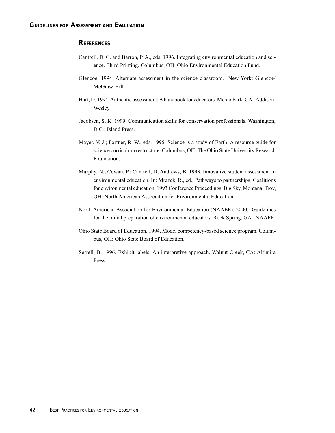#### **REFERENCES**

- Cantrell, D. C. and Barron, P. A., eds. 1996. Integrating environmental education and science. Third Printing. Columbus, OH: Ohio Environmental Education Fund.
- Glencoe. 1994. Alternate assessment in the science classroom. New York: Glencoe/ McGraw-Hill.
- Hart, D. 1994. Authentic assessment: A handbook for educators. Menlo Park, CA: Addison-Wesley.
- Jacobsen, S. K. 1999. Communication skills for conservation professionals. Washington, D.C.: Island Press.
- Mayer, V. J.; Fortner, R. W., eds. 1995. Science is a study of Earth: A resource guide for science curriculum restructure. Columbus, OH: The Ohio State University Research Foundation.
- Murphy, N.; Cowan, P.; Cantrell, D; Andrews, B. 1993. Innovative student assessment in environmental education. In: Mrazek, R., ed., Pathways to partnerships: Coalitions for environmental education. 1993 Conference Proceedings. Big Sky, Montana. Troy, OH: North American Association for Environmental Education.
- North American Association for Environmental Education (NAAEE). 2000. Guidelines for the initial preparation of environmental educators. Rock Spring, GA: NAAEE.
- Ohio State Board of Education. 1994. Model competency-based science program. Columbus, OH: Ohio State Board of Education.
- Serrell, B. 1996. Exhibit labels: An interpretive approach. Walnut Creek, CA: Altimira Press.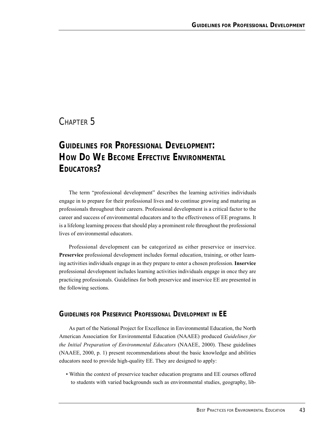## CHAPTER<sub>5</sub>

# *GUIDELINES FOR PROFESSIONAL DEVELOPMENT:* **HOW DO WE BECOME EFFECTIVE ENVIRONMENTAL EDUCATORS?**

The term "professional development" describes the learning activities individuals engage in to prepare for their professional lives and to continue growing and maturing as professionals throughout their careers. Professional development is a critical factor to the career and success of environmental educators and to the effectiveness of EE programs. It is a lifelong learning process that should play a prominent role throughout the professional lives of environmental educators.

Professional development can be categorized as either preservice or inservice. **Preservice** professional development includes formal education, training, or other learning activities individuals engage in as they prepare to enter a chosen profession. **Inservice** professional development includes learning activities individuals engage in once they are practicing professionals. Guidelines for both preservice and inservice EE are presented in the following sections.

## **GUIDELINES FOR PRESERVICE PROFESSIONAL DEVELOPMENT IN EE**

As part of the National Project for Excellence in Environmental Education, the North American Association for Environmental Education (NAAEE) produced *Guidelines for the Initial Preparation of Environmental Educators* (NAAEE, 2000). These guidelines (NAAEE, 2000, p. 1) present recommendations about the basic knowledge and abilities educators need to provide high-quality EE. They are designed to apply:

• Within the context of preservice teacher education programs and EE courses offered to students with varied backgrounds such as environmental studies, geography, lib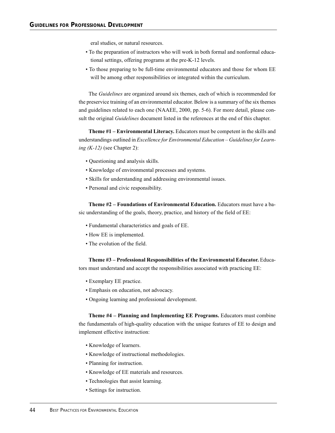eral studies, or natural resources.

- To the preparation of instructors who will work in both formal and nonformal educational settings, offering programs at the pre-K-12 levels.
- To those preparing to be full-time environmental educators and those for whom EE will be among other responsibilities or integrated within the curriculum.

The *Guidelines* are organized around six themes, each of which is recommended for the preservice training of an environmental educator. Below is a summary of the six themes and guidelines related to each one (NAAEE, 2000, pp. 5-6). For more detail, please consult the original *Guidelines* document listed in the references at the end of this chapter.

**Theme #1 – Environmental Literacy.** Educators must be competent in the skills and understandings outlined in *Excellence for Environmental Education – Guidelines for Learning (K-12)* (see Chapter 2):

- Questioning and analysis skills.
- Knowledge of environmental processes and systems.
- Skills for understanding and addressing environmental issues.
- Personal and civic responsibility.

**Theme #2 – Foundations of Environmental Education.** Educators must have a basic understanding of the goals, theory, practice, and history of the field of EE:

- Fundamental characteristics and goals of EE.
- How EE is implemented.
- The evolution of the field.

**Theme #3 – Professional Responsibilities of the Environmental Educator.** Educators must understand and accept the responsibilities associated with practicing EE:

- Exemplary EE practice.
- Emphasis on education, not advocacy.
- Ongoing learning and professional development.

**Theme #4 – Planning and Implementing EE Programs.** Educators must combine the fundamentals of high-quality education with the unique features of EE to design and implement effective instruction:

- Knowledge of learners.
- Knowledge of instructional methodologies.
- Planning for instruction.
- Knowledge of EE materials and resources.
- Technologies that assist learning.
- Settings for instruction.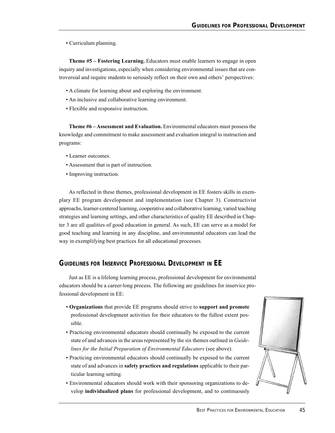• Curriculum planning.

**Theme #5 – Fostering Learning.** Educators must enable learners to engage in open inquiry and investigations, especially when considering environmental issues that are controversial and require students to seriously reflect on their own and others' perspectives:

- A climate for learning about and exploring the environment.
- An inclusive and collaborative learning environment.
- Flexible and responsive instruction.

**Theme #6 – Assessment and Evaluation.** Environmental educators must possess the knowledge and commitment to make assessment and evaluation integral to instruction and programs:

- Learner outcomes.
- Assessment that is part of instruction.
- Improving instruction.

As reflected in these themes, professional development in EE fosters skills in exemplary EE program development and implementation (see Chapter 3). Constructivist approachs, learner-centered learning, cooperative and collaborative learning, varied teaching strategies and learning settings, and other characteristics of quality EE described in Chapter 3 are all qualities of good education in general. As such, EE can serve as a model for good teaching and learning in any discipline, and environmental educators can lead the way in exemplifying best practices for all educational processes.

### **GUIDELINES FOR INSERVICE PROFESSIONAL DEVELOPMENT IN EE**

Just as EE is a lifelong learning process, professional development for environmental educators should be a career-long process. The following are guidelines for inservice professional development in EE:

- **Organizations** that provide EE programs should strive to **support and promote** professional development activities for their educators to the fullest extent possible.
- Practicing environmental educators should continually be exposed to the current state of and advances in the areas represented by the six themes outlined in *Guidelines for the Initial Preparation of Environmental Educators* (see above).
- Practicing environmental educators should continually be exposed to the current state of and advances in **safety practices and regulations** applicable to their particular learning setting.
- Environmental educators should work with their sponsoring organizations to develop **individualized plans** for professional development, and to continuously

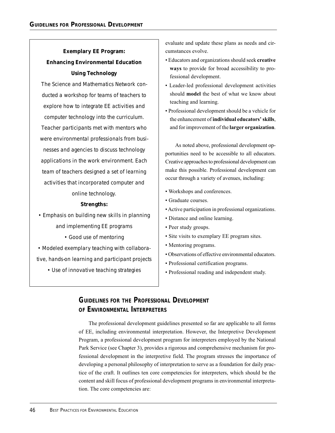## **Exemplary EE Program: Enhancing Environmental Education Using Technology**

*The Science and Mathematics Network conducted a workshop for teams of teachers to explore how to integrate EE activities and computer technology into the curriculum. Teacher participants met with mentors who were environmental professionals from businesses and agencies to discuss technology applications in the work environment. Each team of teachers designed a set of learning activities that incorporated computer and online technology.*

#### *Strengths:*

*• Emphasis on building new skills in planning and implementing EE programs • Good use of mentoring • Modeled exemplary teaching with collaborative, hands-on learning and participant projects*

*• Use of innovative teaching strategies*

evaluate and update these plans as needs and circumstances evolve.

- Educators and organizations should seek **creative ways** to provide for broad accessibility to professional development.
- Leader-led professional development activities should **model** the best of what we know about teaching and learning.
- Professional development should be a vehicle for the enhancement of **individual educators' skills**, and for improvement of the **larger organization**.

As noted above, professional development opportunities need to be accessible to all educators. Creative approaches to professional development can make this possible. Professional development can occur through a variety of avenues, including:

- Workshops and conferences.
- Graduate courses.
- Active participation in professional organizations.
- Distance and online learning.
- Peer study groups.
- Site visits to exemplary EE program sites.
- Mentoring programs.
- Observations of effective environmental educators.
- Professional certification programs.
- Professional reading and independent study.

## **GUIDELINES FOR THE PROFESSIONAL DEVELOPMENT OF ENVIRONMENTAL INTERPRETERS**

The professional development guidelines presented so far are applicable to all forms of EE, including environmental interpretation. However, the Interpretive Development Program, a professional development program for interpreters employed by the National Park Service (see Chapter 3), provides a rigorous and comprehensive mechanism for professional development in the interpretive field. The program stresses the importance of developing a personal philosophy of interpretation to serve as a foundation for daily practice of the craft. It outlines ten core competencies for interpreters, which should be the content and skill focus of professional development programs in environmental interpretation. The core competencies are: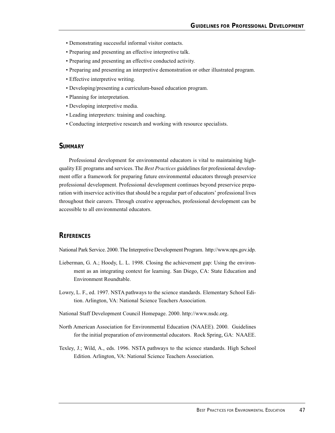- Demonstrating successful informal visitor contacts.
- Preparing and presenting an effective interpretive talk.
- Preparing and presenting an effective conducted activity.
- Preparing and presenting an interpretive demonstration or other illustrated program.
- Effective interpretive writing.
- Developing/presenting a curriculum-based education program.
- Planning for interpretation.
- Developing interpretive media.
- Leading interpreters: training and coaching.
- Conducting interpretive research and working with resource specialists.

#### **SUMMARY**

Professional development for environmental educators is vital to maintaining highquality EE programs and services. The *Best Practices* guidelines for professional development offer a framework for preparing future environmental educators through preservice professional development. Professional development continues beyond preservice preparation with inservice activities that should be a regular part of educators' professional lives throughout their careers. Through creative approaches, professional development can be accessible to all environmental educators.

#### **REFERENCES**

National Park Service. 2000. The Interpretive Development Program. http://www.nps.gov.idp.

- Lieberman, G. A.; Hoody, L. L. 1998. Closing the achievement gap: Using the environment as an integrating context for learning. San Diego, CA: State Education and Environment Roundtable.
- Lowry, L. F., ed. 1997. NSTA pathways to the science standards. Elementary School Edition. Arlington, VA: National Science Teachers Association.
- National Staff Development Council Homepage. 2000. http://www.nsdc.org.
- North American Association for Environmental Education (NAAEE). 2000. Guidelines for the initial preparation of environmental educators. Rock Spring, GA: NAAEE.
- Texley, J.; Wild, A., eds. 1996. NSTA pathways to the science standards. High School Edition. Arlington, VA: National Science Teachers Association.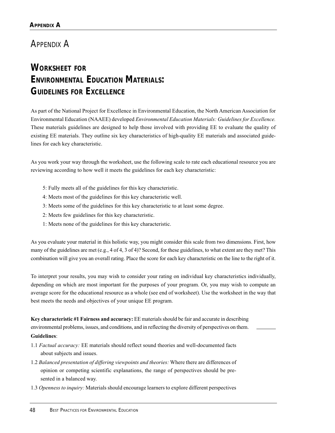## APPENDIX A

# **WORKSHEET FOR ENVIRONMENTAL EDUCATION MATERIALS: GUIDELINES FOR EXCELLENCE**

As part of the National Project for Excellence in Environmental Education, the North American Association for Environmental Education (NAAEE) developed *Environmental Education Materials: Guidelines for Excellence.* These materials guidelines are designed to help those involved with providing EE to evaluate the quality of existing EE materials. They outline six key characteristics of high-quality EE materials and associated guidelines for each key characteristic.

As you work your way through the worksheet, use the following scale to rate each educational resource you are reviewing according to how well it meets the guidelines for each key characteristic:

- 5: Fully meets all of the guidelines for this key characteristic.
- 4: Meets most of the guidelines for this key characteristic well.
- 3: Meets some of the guidelines for this key characteristic to at least some degree.
- 2: Meets few guidelines for this key characteristic.
- 1: Meets none of the guidelines for this key characteristic.

As you evaluate your material in this holistic way, you might consider this scale from two dimensions. First, how many of the guidelines are met (e.g., 4 of 4, 3 of 4)? Second, for these guidelines, to what extent are they met? This combination will give you an overall rating. Place the score for each key characteristic on the line to the right of it.

To interpret your results, you may wish to consider your rating on individual key characteristics individually, depending on which are most important for the purposes of your program. Or, you may wish to compute an average score for the educational resource as a whole (see end of worksheet). Use the worksheet in the way that best meets the needs and objectives of your unique EE program.

**Key characteristic #1 Fairness and accuracy:** EE materials should be fair and accurate in describing environmental problems, issues, and conditions, and in reflecting the diversity of perspectives on them. **Guidelines**:

- 1.1 *Factual accuracy:* EE materials should reflect sound theories and well-documented facts about subjects and issues.
- 1.2 *Balanced presentation of differing viewpoints and theories:* Where there are differences of opinion or competing scientific explanations, the range of perspectives should be presented in a balanced way.
- 1.3 *Openness to inquiry:* Materials should encourage learners to explore different perspectives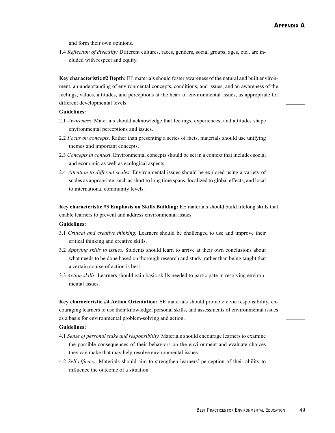and form their own opinions.

1.4 *Reflection of diversity:* Different cultures, races, genders, social groups, ages, etc., are included with respect and equity.

**Key characteristic #2 Depth:** EE materials should foster awareness of the natural and built environment, an understanding of environmental concepts, conditions, and issues, and an awareness of the feelings, values, attitudes, and perceptions at the heart of environmental issues, as appropriate for different developmental levels.

#### **Guidelines:**

- 2.1 *Awareness*. Materials should acknowledge that feelings, experiences, and attitudes shape environmental perceptions and issues.
- 2.2 *Focus on concepts*. Rather than presenting a series of facts, materials should use unifying themes and important concepts.
- 2.3 *Concepts in context*. Environmental concepts should be set in a context that includes social and economic as well as ecological aspects.
- 2.4 *Attention to different scales.* Environmental issues should be explored using a variety of scales as appropriate, such as short to long time spans, localized to global effects, and local to international community levels.

**Key characteristic #3 Emphasis on Skills Building:** EE materials should build lifelong skills that enable learners to prevent and address environmental issues.

#### **Guidelines:**

- 3.1 *Critical and creative thinking.* Learners should be challenged to use and improve their critical thinking and creative skills.
- 3.2 *Applying skills to issues.* Students should learn to arrive at their own conclusions about what needs to be done based on thorough research and study, rather than being taught that a certain course of action is best.
- 3.3 *Action skills.* Learners should gain basic skills needed to participate in resolving environmental issues.

**Key characteristic #4 Action Orientation:** EE materials should promote civic responsibility, encouraging learners to use their knowledge, personal skills, and assessments of environmental issues as a basis for environmental problem-solving and action.

#### **Guidelines:**

- 4.1 *Sense of personal stake and responsibility.* Materials should encourage learners to examine the possible consequences of their behaviors on the environment and evaluate choices they can make that may help resolve environmental issues.
- 4.2 *Self-efficacy*. Materials should aim to strengthen learners' perception of their ability to influence the outcome of a situation.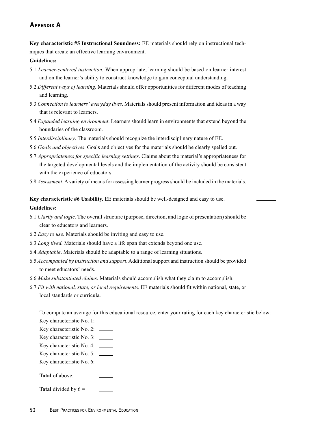#### **APPENDIX A**

**Key characteristic #5 Instructional Soundness:** EE materials should rely on instructional techniques that create an effective learning environment.

#### **Guidelines:**

- 5.1 *Learner-centered instruction.* When appropriate, learning should be based on learner interest and on the learner's ability to construct knowledge to gain conceptual understanding.
- 5.2 *Different ways of learning.* Materials should offer opportunities for different modes of teaching and learning.
- 5.3 *Connection to learners' everyday lives.* Materials should present information and ideas in a way that is relevant to learners.
- 5.4 *Expanded learning environment*. Learners should learn in environments that extend beyond the boundaries of the classroom.
- 5.5 *Interdisciplinary*. The materials should recognize the interdisciplinary nature of EE.
- 5.6 *Goals and objectives*. Goals and objectives for the materials should be clearly spelled out.
- 5.7 *Appropriateness for specific learning settings*. Claims about the material's appropriateness for the targeted developmental levels and the implementation of the activity should be consistent with the experience of educators.
- 5.8 *Assessment*. A variety of means for assessing learner progress should be included in the materials.

**Key characteristic #6 Usability.** EE materials should be well-designed and easy to use.

#### **Guidelines:**

- 6.1 *Clarity and logic.* The overall structure (purpose, direction, and logic of presentation) should be clear to educators and learners.
- 6.2 *Easy to use.* Materials should be inviting and easy to use.
- 6.3 *Long lived.* Materials should have a life span that extends beyond one use.
- 6.4 *Adaptable*. Materials should be adaptable to a range of learning situations.
- 6.5 *Accompanied by instruction and support*. Additional support and instruction should be provided to meet educators' needs.
- 6.6 *Make substantiated claims*. Materials should accomplish what they claim to accomplish.
- 6.7 *Fit with national, state, or local requirements*. EE materials should fit within national, state, or local standards or curricula.

To compute an average for this educational resource, enter your rating for each key characteristic below:

- Key characteristic No. 1:
- Key characteristic No. 2:
- Key characteristic No. 3:
- Key characteristic No. 4:
- Key characteristic No. 5:
- Key characteristic No. 6:
- **Total** of above:
- **Total** divided by  $6 =$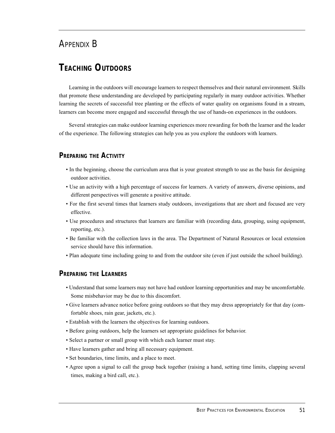## APPENDIX B

## **TEACHING OUTDOORS**

Learning in the outdoors will encourage learners to respect themselves and their natural environment. Skills that promote these understanding are developed by participating regularly in many outdoor activities. Whether learning the secrets of successful tree planting or the effects of water quality on organisms found in a stream, learners can become more engaged and successful through the use of hands-on experiences in the outdoors.

Several strategies can make outdoor learning experiences more rewarding for both the learner and the leader of the experience. The following strategies can help you as you explore the outdoors with learners.

### **PREPARING THE ACTIVITY**

- In the beginning, choose the curriculum area that is your greatest strength to use as the basis for designing outdoor activities.
- Use an activity with a high percentage of success for learners. A variety of answers, diverse opinions, and different perspectives will generate a positive attitude.
- For the first several times that learners study outdoors, investigations that are short and focused are very effective.
- Use procedures and structures that learners are familiar with (recording data, grouping, using equipment, reporting, etc.).
- Be familiar with the collection laws in the area. The Department of Natural Resources or local extension service should have this information.
- Plan adequate time including going to and from the outdoor site (even if just outside the school building).

### **PREPARING THE LEARNERS**

- Understand that some learners may not have had outdoor learning opportunities and may be uncomfortable. Some misbehavior may be due to this discomfort.
- Give learners advance notice before going outdoors so that they may dress appropriately for that day (comfortable shoes, rain gear, jackets, etc.).
- Establish with the learners the objectives for learning outdoors.
- Before going outdoors, help the learners set appropriate guidelines for behavior.
- Select a partner or small group with which each learner must stay.
- Have learners gather and bring all necessary equipment.
- Set boundaries, time limits, and a place to meet.
- Agree upon a signal to call the group back together (raising a hand, setting time limits, clapping several times, making a bird call, etc.).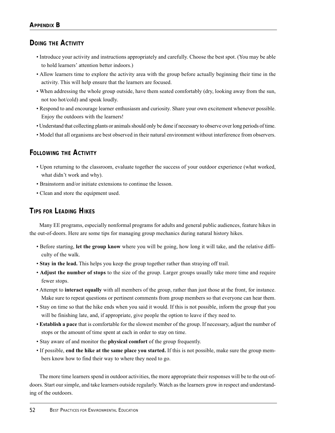## **DOING THE ACTIVITY**

- Introduce your activity and instructions appropriately and carefully. Choose the best spot. (You may be able to hold learners' attention better indoors.)
- Allow learners time to explore the activity area with the group before actually beginning their time in the activity. This will help ensure that the learners are focused.
- When addressing the whole group outside, have them seated comfortably (dry, looking away from the sun, not too hot/cold) and speak loudly.
- Respond to and encourage learner enthusiasm and curiosity. Share your own excitement whenever possible. Enjoy the outdoors with the learners!
- Understand that collecting plants or animals should only be done if necessary to observe over long periods of time.
- Model that all organisms are best observed in their natural environment without interference from observers.

## **FOLLOWING THE ACTIVITY**

- Upon returning to the classroom, evaluate together the success of your outdoor experience (what worked, what didn't work and why).
- Brainstorm and/or initiate extensions to continue the lesson.
- Clean and store the equipment used.

## **TIPS FOR LEADING HIKES**

Many EE programs, especially nonformal programs for adults and general public audiences, feature hikes in the out-of-doors. Here are some tips for managing group mechanics during natural history hikes.

- Before starting, **let the group know** where you will be going, how long it will take, and the relative difficulty of the walk.
- **Stay in the lead.** This helps you keep the group together rather than straying off trail.
- **Adjust the number of stops** to the size of the group. Larger groups usually take more time and require fewer stops.
- Attempt to **interact equally** with all members of the group, rather than just those at the front, for instance. Make sure to repeat questions or pertinent comments from group members so that everyone can hear them.
- Stay on time so that the hike ends when you said it would. If this is not possible, inform the group that you will be finishing late, and, if appropriate, give people the option to leave if they need to.
- **Establish a pace** that is comfortable for the slowest member of the group. If necessary, adjust the number of stops or the amount of time spent at each in order to stay on time.
- Stay aware of and monitor the **physical comfort** of the group frequently.
- If possible, **end the hike at the same place you started.** If this is not possible, make sure the group members know how to find their way to where they need to go.

The more time learners spend in outdoor activities, the more appropriate their responses will be to the out-ofdoors. Start our simple, and take learners outside regularly. Watch as the learners grow in respect and understanding of the outdoors.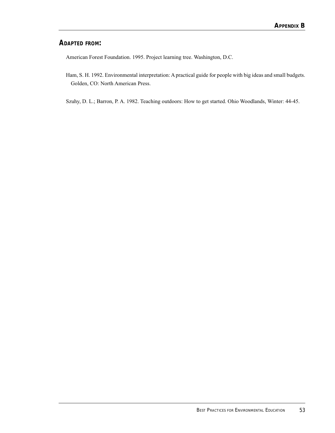## **ADAPTED FROM:**

American Forest Foundation. 1995. Project learning tree. Washington, D.C.

Ham, S. H. 1992. Environmental interpretation: A practical guide for people with big ideas and small budgets. Golden, CO: North American Press.

Szuhy, D. L.; Barron, P. A. 1982. Teaching outdoors: How to get started. Ohio Woodlands, Winter: 44-45.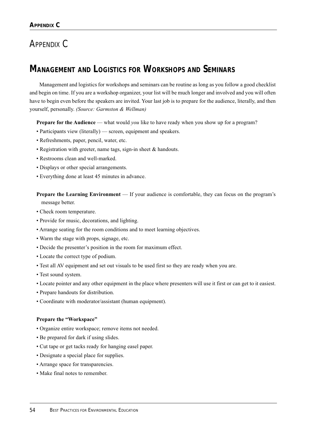# APPENDIX C

## **MANAGEMENT AND LOGISTICS FOR WORKSHOPS AND SEMINARS**

Management and logistics for workshops and seminars can be routine as long as you follow a good checklist and begin on time. If you are a workshop organizer, your list will be much longer and involved and you will often have to begin even before the speakers are invited. Your last job is to prepare for the audience, literally, and then yourself, personally. *(Source: Garmston & Wellman)*

**Prepare for the Audience** — what would *you* like to have ready when you show up for a program?

- Participants view (literally) screen, equipment and speakers.
- Refreshments, paper, pencil, water, etc.
- Registration with greeter, name tags, sign-in sheet & handouts.
- Restrooms clean and well-marked.
- Displays or other special arrangements.
- Everything done at least 45 minutes in advance.

**Prepare the Learning Environment** — If your audience is comfortable, they can focus on the program's message better.

- Check room temperature.
- Provide for music, decorations, and lighting.
- Arrange seating for the room conditions and to meet learning objectives.
- Warm the stage with props, signage, etc.
- Decide the presenter's position in the room for maximum effect.
- Locate the correct type of podium.
- Test all AV equipment and set out visuals to be used first so they are ready when you are.
- Test sound system.
- Locate pointer and any other equipment in the place where presenters will use it first or can get to it easiest.
- Prepare handouts for distribution.
- Coordinate with moderator/assistant (human equipment).

#### **Prepare the "Workspace"**

- Organize entire workspace; remove items not needed.
- Be prepared for dark if using slides.
- Cut tape or get tacks ready for hanging easel paper.
- Designate a special place for supplies.
- Arrange space for transparencies.
- Make final notes to remember.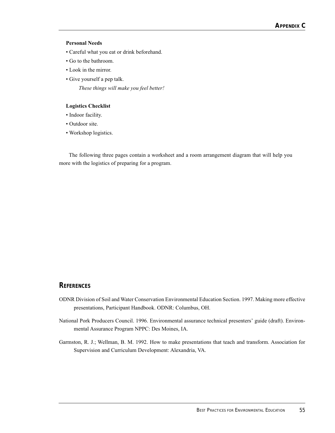#### **Personal Needs**

- Careful what you eat or drink beforehand.
- Go to the bathroom.
- Look in the mirror.
- Give yourself a pep talk.

*These things will make you feel better!*

#### **Logistics Checklist**

- Indoor facility.
- Outdoor site.
- Workshop logistics.

The following three pages contain a worksheet and a room arrangement diagram that will help you more with the logistics of preparing for a program.

#### **REFERENCES**

- ODNR Division of Soil and Water Conservation Environmental Education Section. 1997. Making more effective presentations, Participant Handbook. ODNR: Columbus, OH.
- National Pork Producers Council. 1996. Environmental assurance technical presenters' guide (draft). Environmental Assurance Program NPPC: Des Moines, IA.
- Garmston, R. J.; Wellman, B. M. 1992. How to make presentations that teach and transform. Association for Supervision and Curriculum Development: Alexandria, VA.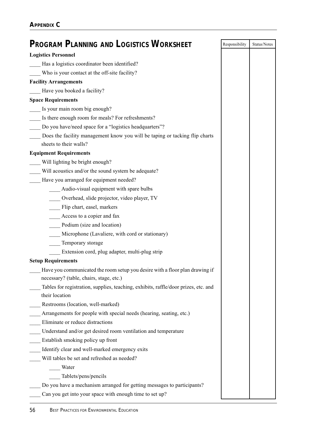| <b>PROGRAM PLANNING AND LOGISTICS WORKSHEET</b>                                                       | Responsibility | Status/Notes |
|-------------------------------------------------------------------------------------------------------|----------------|--------------|
| <b>Logistics Personnel</b>                                                                            |                |              |
| Has a logistics coordinator been identified?                                                          |                |              |
| Who is your contact at the off-site facility?                                                         |                |              |
| <b>Facility Arrangements</b>                                                                          |                |              |
| Have you booked a facility?                                                                           |                |              |
| <b>Space Requirements</b>                                                                             |                |              |
| Is your main room big enough?                                                                         |                |              |
| Is there enough room for meals? For refreshments?                                                     |                |              |
| Do you have/need space for a "logistics headquarters"?                                                |                |              |
| Does the facility management know you will be taping or tacking flip charts<br>sheets to their walls? |                |              |
| <b>Equipment Requirements</b>                                                                         |                |              |
| Will lighting be bright enough?                                                                       |                |              |
| Will acoustics and/or the sound system be adequate?                                                   |                |              |
| Have you arranged for equipment needed?                                                               |                |              |
| Audio-visual equipment with spare bulbs                                                               |                |              |
| Overhead, slide projector, video player, TV                                                           |                |              |
| Flip chart, easel, markers                                                                            |                |              |
| Access to a copier and fax                                                                            |                |              |
| Podium (size and location)                                                                            |                |              |
| Microphone (Lavaliere, with cord or stationary)                                                       |                |              |
| Temporary storage                                                                                     |                |              |
| Extension cord, plug adapter, multi-plug strip                                                        |                |              |
| <b>Setup Requirements</b>                                                                             |                |              |
| Have you communicated the room setup you desire with a floor plan drawing if                          |                |              |
| necessary? (table, chairs, stage, etc.)                                                               |                |              |
| Tables for registration, supplies, teaching, exhibits, raffle/door prizes, etc. and<br>their location |                |              |
| Restrooms (location, well-marked)                                                                     |                |              |
| Arrangements for people with special needs (hearing, seating, etc.)                                   |                |              |
| Eliminate or reduce distractions                                                                      |                |              |
| Understand and/or get desired room ventilation and temperature                                        |                |              |
| Establish smoking policy up front                                                                     |                |              |
| Identify clear and well-marked emergency exits                                                        |                |              |
| Will tables be set and refreshed as needed?                                                           |                |              |
| Water                                                                                                 |                |              |
| Tablets/pens/pencils                                                                                  |                |              |
| Do you have a mechanism arranged for getting messages to participants?                                |                |              |
| Can you get into your space with enough time to set up?                                               |                |              |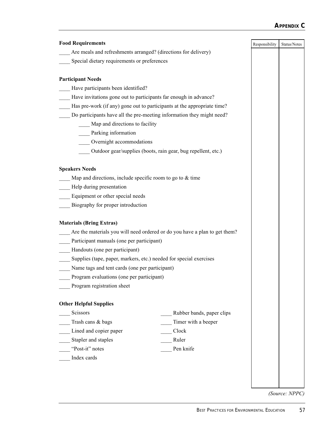## **APPENDIX C**

| <b>Food Requirements</b>                                                     |                                                                            | Responsibility | Status/Notes |
|------------------------------------------------------------------------------|----------------------------------------------------------------------------|----------------|--------------|
| Are meals and refreshments arranged? (directions for delivery)               |                                                                            |                |              |
| Special dietary requirements or preferences                                  |                                                                            |                |              |
| <b>Participant Needs</b>                                                     |                                                                            |                |              |
| Have participants been identified?                                           |                                                                            |                |              |
|                                                                              | Have invitations gone out to participants far enough in advance?           |                |              |
|                                                                              | Has pre-work (if any) gone out to participants at the appropriate time?    |                |              |
|                                                                              | Do participants have all the pre-meeting information they might need?      |                |              |
|                                                                              | Map and directions to facility                                             |                |              |
| Parking information                                                          |                                                                            |                |              |
| Overnight accommodations                                                     |                                                                            |                |              |
|                                                                              | Outdoor gear/supplies (boots, rain gear, bug repellent, etc.)              |                |              |
| <b>Speakers Needs</b>                                                        |                                                                            |                |              |
| Map and directions, include specific room to go to $&$ time                  |                                                                            |                |              |
| Help during presentation                                                     |                                                                            |                |              |
| Equipment or other special needs                                             |                                                                            |                |              |
| Biography for proper introduction                                            |                                                                            |                |              |
| <b>Materials (Bring Extras)</b><br>Participant manuals (one per participant) | Are the materials you will need ordered or do you have a plan to get them? |                |              |
| Handouts (one per participant)                                               |                                                                            |                |              |
|                                                                              | Supplies (tape, paper, markers, etc.) needed for special exercises         |                |              |
| Name tags and tent cards (one per participant)                               |                                                                            |                |              |
| Program evaluations (one per participant)                                    |                                                                            |                |              |
| Program registration sheet                                                   |                                                                            |                |              |
| <b>Other Helpful Supplies</b>                                                |                                                                            |                |              |
| Scissors                                                                     | Rubber bands, paper clips                                                  |                |              |
| Trash cans & bags                                                            | Timer with a beeper                                                        |                |              |
| Lined and copier paper                                                       | Clock                                                                      |                |              |
| Stapler and staples                                                          | Ruler                                                                      |                |              |
| "Post-it" notes                                                              | Pen knife                                                                  |                |              |
|                                                                              |                                                                            |                |              |

*(Source: NPPC)*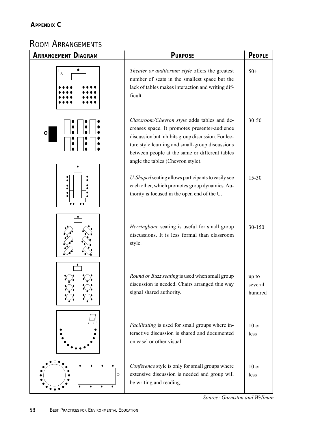# ROOM ARRANGEMENTS

| <b>ARRANGEMENT DIAGRAM</b> | <b>PURPOSE</b>                                                                                                                                                                                                                                                                               | <b>PEOPLE</b>               |
|----------------------------|----------------------------------------------------------------------------------------------------------------------------------------------------------------------------------------------------------------------------------------------------------------------------------------------|-----------------------------|
|                            | Theater or auditorium style offers the greatest<br>number of seats in the smallest space but the<br>lack of tables makes interaction and writing dif-<br>ficult.                                                                                                                             | $50+$                       |
| $\circ$                    | Classroom/Chevron style adds tables and de-<br>creases space. It promotes presenter-audience<br>discussion but inhibits group discussion. For lec-<br>ture style learning and small-group discussions<br>between people at the same or different tables<br>angle the tables (Chevron style). | $30 - 50$                   |
| $\bullet$<br>$\bullet$     | U-Shaped seating allows participants to easily see<br>each other, which promotes group dynamics. Au-<br>thority is focused in the open end of the U.                                                                                                                                         | $15 - 30$                   |
|                            | Herringbone seating is useful for small group<br>discussions. It is less formal than classroom<br>style.                                                                                                                                                                                     | 30-150                      |
|                            | Round or Buzz seating is used when small group<br>discussion is needed. Chairs arranged this way<br>signal shared authority.                                                                                                                                                                 | up to<br>several<br>hundred |
|                            | <i>Facilitating</i> is used for small groups where in-<br>teractive discussion is shared and documented<br>on easel or other visual.                                                                                                                                                         | $10$ or<br>less             |
| O<br>$\circ$               | Conference style is only for small groups where<br>extensive discussion is needed and group will<br>be writing and reading.                                                                                                                                                                  | $10$ or<br><i>less</i>      |

*Source: Garmston and Wellman*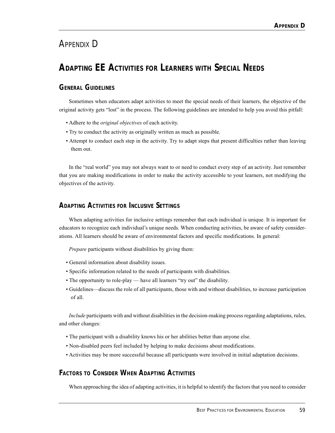# APPENDIX D

# **ADAPTING EE ACTIVITIES FOR LEARNERS WITH SPECIAL NEEDS**

## **GENERAL GUIDELINES**

Sometimes when educators adapt activities to meet the special needs of their learners, the objective of the original activity gets "lost" in the process. The following guidelines are intended to help you avoid this pitfall:

- Adhere to the *original objectives* of each activity.
- Try to conduct the activity as originally written as much as possible.
- Attempt to conduct each step in the activity. Try to adapt steps that present difficulties rather than leaving them out.

In the "real world" you may not always want to or need to conduct every step of an activity. Just remember that you are making modifications in order to make the activity accessible to your learners, not modifying the objectives of the activity.

## **ADAPTING ACTIVITIES FOR INCLUSIVE SETTINGS**

When adapting activities for inclusive settings remember that each individual is unique. It is important for educators to recognize each individual's unique needs. When conducting activities, be aware of safety considerations. All learners should be aware of environmental factors and specific modifications. In general:

*Prepare* participants without disabilities by giving them:

- General information about disability issues.
- Specific information related to the needs of participants with disabilities.
- The opportunity to role-play have all learners "try out" the disability.
- Guidelines—discuss the role of all participants, those with and without disabilities, to increase participation of all.

*Include* participants with and without disabilities in the decision-making process regarding adaptations, rules, and other changes:

- The participant with a disability knows his or her abilities better than anyone else.
- Non-disabled peers feel included by helping to make decisions about modifications.
- Activities may be more successful because all participants were involved in initial adaptation decisions.

## **FACTORS TO CONSIDER WHEN ADAPTING ACTIVITIES**

When approaching the idea of adapting activities, it is helpful to identify the factors that you need to consider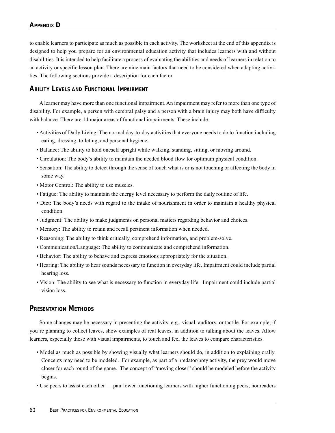to enable learners to participate as much as possible in each activity. The worksheet at the end of this appendix is designed to help you prepare for an environmental education activity that includes learners with and without disabilities. It is intended to help facilitate a process of evaluating the abilities and needs of learners in relation to an activity or specific lesson plan. There are nine main factors that need to be considered when adapting activities. The following sections provide a description for each factor.

### **ABILITY LEVELS AND FUNCTIONAL IMPAIRMENT**

A learner may have more than one functional impairment. An impairment may refer to more than one type of disability. For example, a person with cerebral palsy and a person with a brain injury may both have difficulty with balance. There are 14 major areas of functional impairments. These include:

- Activities of Daily Living: The normal day-to-day activities that everyone needs to do to function including eating, dressing, toileting, and personal hygiene.
- Balance: The ability to hold oneself upright while walking, standing, sitting, or moving around.
- Circulation: The body's ability to maintain the needed blood flow for optimum physical condition.
- Sensation: The ability to detect through the sense of touch what is or is not touching or affecting the body in some way.
- Motor Control: The ability to use muscles.
- Fatigue: The ability to maintain the energy level necessary to perform the daily routine of life.
- Diet: The body's needs with regard to the intake of nourishment in order to maintain a healthy physical condition.
- Judgment: The ability to make judgments on personal matters regarding behavior and choices.
- Memory: The ability to retain and recall pertinent information when needed.
- Reasoning: The ability to think critically, comprehend information, and problem-solve.
- Communication/Language: The ability to communicate and comprehend information.
- Behavior: The ability to behave and express emotions appropriately for the situation.
- Hearing: The ability to hear sounds necessary to function in everyday life. Impairment could include partial hearing loss.
- Vision: The ability to see what is necessary to function in everyday life. Impairment could include partial vision loss.

#### **PRESENTATION METHODS**

Some changes may be necessary in presenting the activity, e.g., visual, auditory, or tactile. For example, if you're planning to collect leaves, show examples of real leaves, in addition to talking about the leaves. Allow learners, especially those with visual impairments, to touch and feel the leaves to compare characteristics.

- Model as much as possible by showing visually what learners should do, in addition to explaining orally. Concepts may need to be modeled. For example, as part of a predator/prey activity, the prey would move closer for each round of the game. The concept of "moving closer" should be modeled before the activity begins.
- Use peers to assist each other pair lower functioning learners with higher functioning peers; nonreaders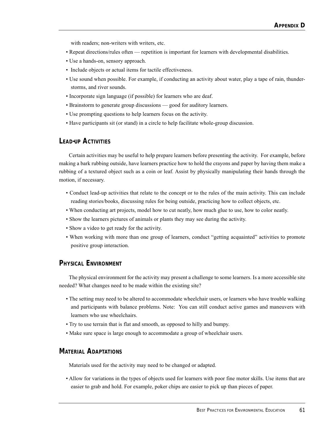with readers; non-writers with writers, etc.

- Repeat directions/rules often repetition is important for learners with developmental disabilities.
- Use a hands-on, sensory approach.
- Include objects or actual items for tactile effectiveness.
- Use sound when possible. For example, if conducting an activity about water, play a tape of rain, thunderstorms, and river sounds.
- Incorporate sign language (if possible) for learners who are deaf.
- Brainstorm to generate group discussions good for auditory learners.
- Use prompting questions to help learners focus on the activity.
- Have participants sit (or stand) in a circle to help facilitate whole-group discussion.

#### **LEAD-UP ACTIVITIES**

Certain activities may be useful to help prepare learners before presenting the activity. For example, before making a bark rubbing outside, have learners practice how to hold the crayons and paper by having them make a rubbing of a textured object such as a coin or leaf. Assist by physically manipulating their hands through the motion, if necessary.

- Conduct lead-up activities that relate to the concept or to the rules of the main activity. This can include reading stories/books, discussing rules for being outside, practicing how to collect objects, etc.
- When conducting art projects, model how to cut neatly, how much glue to use, how to color neatly.
- Show the learners pictures of animals or plants they may see during the activity.
- Show a video to get ready for the activity.
- When working with more than one group of learners, conduct "getting acquainted" activities to promote positive group interaction.

#### **PHYSICAL ENVIRONMENT**

The physical environment for the activity may present a challenge to some learners. Is a more accessible site needed? What changes need to be made within the existing site?

- The setting may need to be altered to accommodate wheelchair users, or learners who have trouble walking and participants with balance problems. Note: You can still conduct active games and maneuvers with learners who use wheelchairs.
- Try to use terrain that is flat and smooth, as opposed to hilly and bumpy.
- Make sure space is large enough to accommodate a group of wheelchair users.

#### **MATERIAL ADAPTATIONS**

Materials used for the activity may need to be changed or adapted.

• Allow for variations in the types of objects used for learners with poor fine motor skills. Use items that are easier to grab and hold. For example, poker chips are easier to pick up than pieces of paper.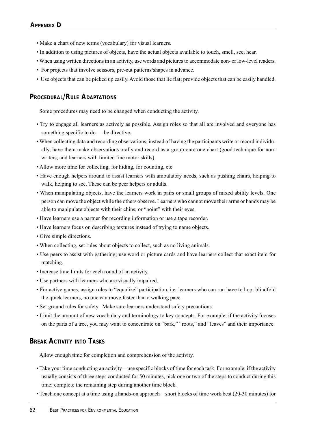- Make a chart of new terms (vocabulary) for visual learners.
- In addition to using pictures of objects, have the actual objects available to touch, smell, see, hear.
- When using written directions in an activity, use words and pictures to accommodate non- or low-level readers.
- For projects that involve scissors, pre-cut patterns/shapes in advance.
- Use objects that can be picked up easily. Avoid those that lie flat; provide objects that can be easily handled.

### **PROCEDURAL/RULE ADAPTATIONS**

Some procedures may need to be changed when conducting the activity.

- Try to engage all learners as actively as possible. Assign roles so that all are involved and everyone has something specific to do — be directive.
- When collecting data and recording observations, instead of having the participants write or record individually, have them make observations orally and record as a group onto one chart (good technique for nonwriters, and learners with limited fine motor skills).
- Allow more time for collecting, for hiding, for counting, etc.
- Have enough helpers around to assist learners with ambulatory needs, such as pushing chairs, helping to walk, helping to see. These can be peer helpers or adults.
- When manipulating objects, have the learners work in pairs or small groups of mixed ability levels. One person can move the object while the others observe. Learners who cannot move their arms or hands may be able to manipulate objects with their chins, or "point" with their eyes.
- Have learners use a partner for recording information or use a tape recorder.
- Have learners focus on describing textures instead of trying to name objects.
- Give simple directions.
- When collecting, set rules about objects to collect, such as no living animals.
- Use peers to assist with gathering; use word or picture cards and have learners collect that exact item for matching.
- Increase time limits for each round of an activity.
- Use partners with learners who are visually impaired.
- For active games, assign roles to "equalize" participation, i.e. learners who can run have to hop: blindfold the quick learners, no one can move faster than a walking pace.
- Set ground rules for safety. Make sure learners understand safety precautions.
- Limit the amount of new vocabulary and terminology to key concepts. For example, if the activity focuses on the parts of a tree, you may want to concentrate on "bark," "roots," and "leaves" and their importance.

## **BREAK ACTIVITY INTO TASKS**

Allow enough time for completion and comprehension of the activity.

- Take your time conducting an activity—use specific blocks of time for each task. For example, if the activity usually consists of three steps conducted for 50 minutes, pick one or two of the steps to conduct during this time; complete the remaining step during another time block.
- Teach one concept at a time using a hands-on approach—short blocks of time work best (20-30 minutes) for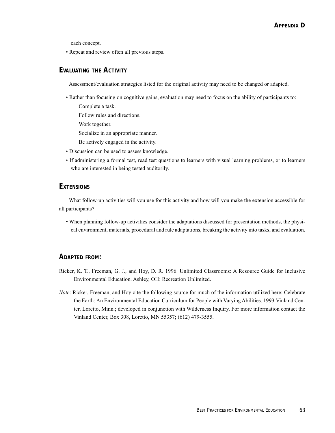each concept.

• Repeat and review often all previous steps.

## **EVALUATING THE ACTIVITY**

Assessment/evaluation strategies listed for the original activity may need to be changed or adapted.

- Rather than focusing on cognitive gains, evaluation may need to focus on the ability of participants to: Complete a task.
	- Follow rules and directions.
	- Work together.
	- Socialize in an appropriate manner.
	- Be actively engaged in the activity.
- Discussion can be used to assess knowledge.
- If administering a formal test, read test questions to learners with visual learning problems, or to learners who are interested in being tested auditorily.

#### **EXTENSIONS**

What follow-up activities will you use for this activity and how will you make the extension accessible for all participants?

• When planning follow-up activities consider the adaptations discussed for presentation methods, the physical environment, materials, procedural and rule adaptations, breaking the activity into tasks, and evaluation.

#### **ADAPTED FROM:**

- Ricker, K. T., Freeman, G. J., and Hoy, D. R. 1996. Unlimited Classrooms: A Resource Guide for Inclusive Environmental Education. Ashley, OH: Recreation Unlimited.
- *Note*: Ricker, Freeman, and Hoy cite the following source for much of the information utilized here: Celebrate the Earth: An Environmental Education Curriculum for People with Varying Abilities. 1993.Vinland Center, Loretto, Minn.; developed in conjunction with Wilderness Inquiry. For more information contact the Vinland Center, Box 308, Loretto, MN 55357; (612) 479-3555.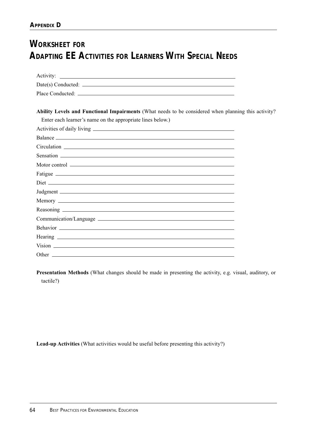# **WORKSHEET FOR ADAPTING EE ACTIVITIES FOR LEARNERS WITH SPECIAL NEEDS**

| $Date(s)$ Conducted: $\qquad \qquad \qquad \qquad$                                                  |  |
|-----------------------------------------------------------------------------------------------------|--|
|                                                                                                     |  |
|                                                                                                     |  |
| Ability Levels and Functional Impairments (What needs to be considered when planning this activity? |  |
| Enter each learner's name on the appropriate lines below.)                                          |  |
|                                                                                                     |  |
|                                                                                                     |  |
|                                                                                                     |  |
|                                                                                                     |  |
|                                                                                                     |  |
|                                                                                                     |  |
|                                                                                                     |  |
|                                                                                                     |  |
|                                                                                                     |  |
|                                                                                                     |  |
|                                                                                                     |  |
|                                                                                                     |  |
|                                                                                                     |  |
|                                                                                                     |  |
|                                                                                                     |  |

**Presentation Methods** (What changes should be made in presenting the activity, e.g. visual, auditory, or tactile?)

Lead-up Activities (What activities would be useful before presenting this activity?)